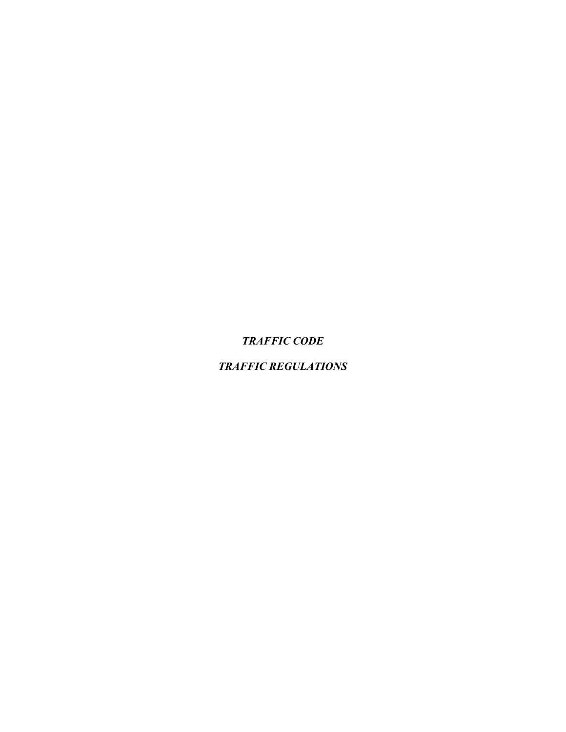*TRAFFIC CODE*

*TRAFFIC REGULATIONS*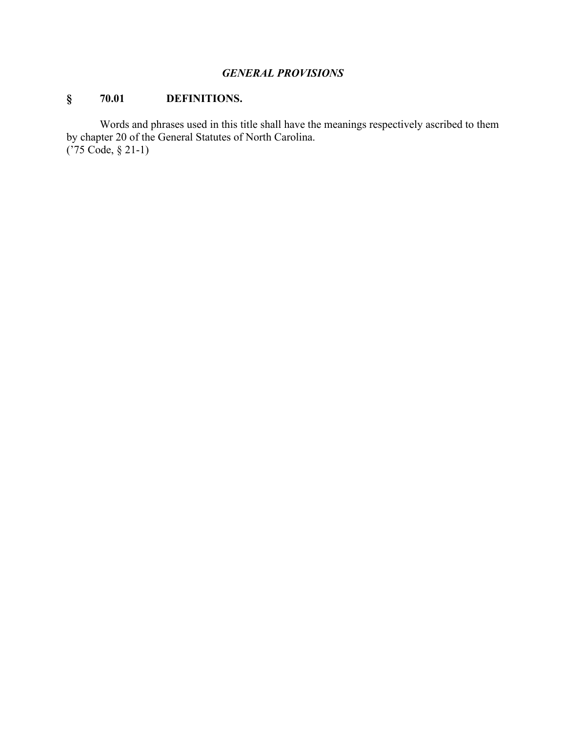### *GENERAL PROVISIONS*

# **§ 70.01 DEFINITIONS.**

Words and phrases used in this title shall have the meanings respectively ascribed to them by chapter 20 of the General Statutes of North Carolina. ('75 Code, § 21-1)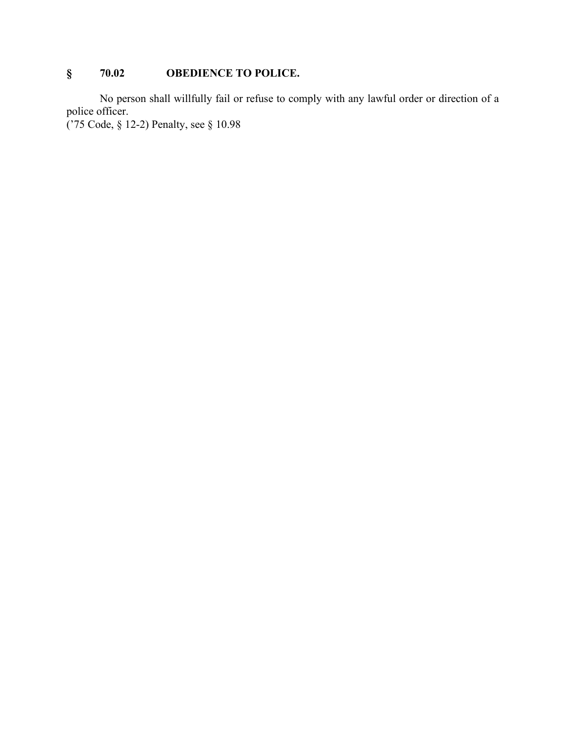# **§ 70.02 OBEDIENCE TO POLICE.**

No person shall willfully fail or refuse to comply with any lawful order or direction of a police officer.

('75 Code, § 12-2) Penalty, see § 10.98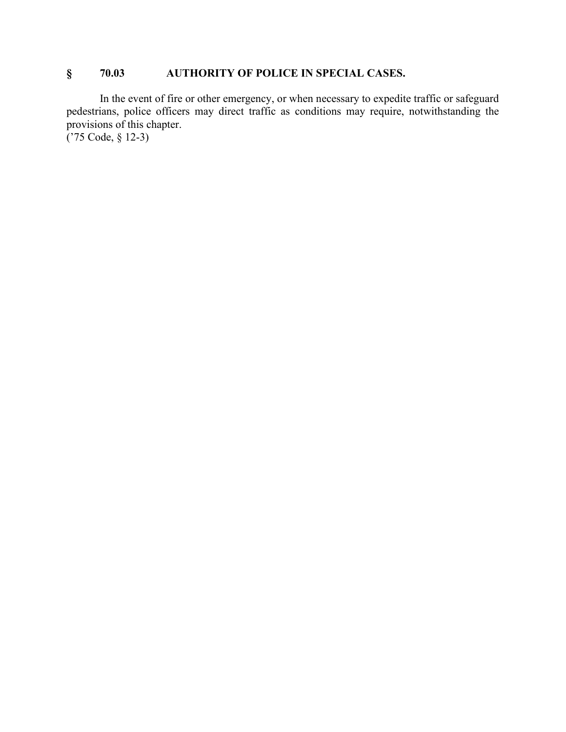## **§ 70.03 AUTHORITY OF POLICE IN SPECIAL CASES.**

In the event of fire or other emergency, or when necessary to expedite traffic or safeguard pedestrians, police officers may direct traffic as conditions may require, notwithstanding the provisions of this chapter.

('75 Code, § 12-3)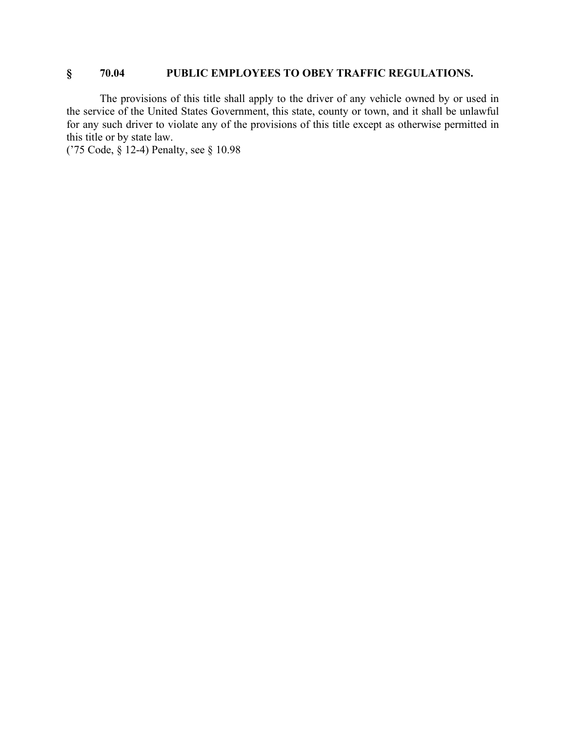### **§ 70.04 PUBLIC EMPLOYEES TO OBEY TRAFFIC REGULATIONS.**

The provisions of this title shall apply to the driver of any vehicle owned by or used in the service of the United States Government, this state, county or town, and it shall be unlawful for any such driver to violate any of the provisions of this title except as otherwise permitted in this title or by state law.

('75 Code, § 12-4) Penalty, see § 10.98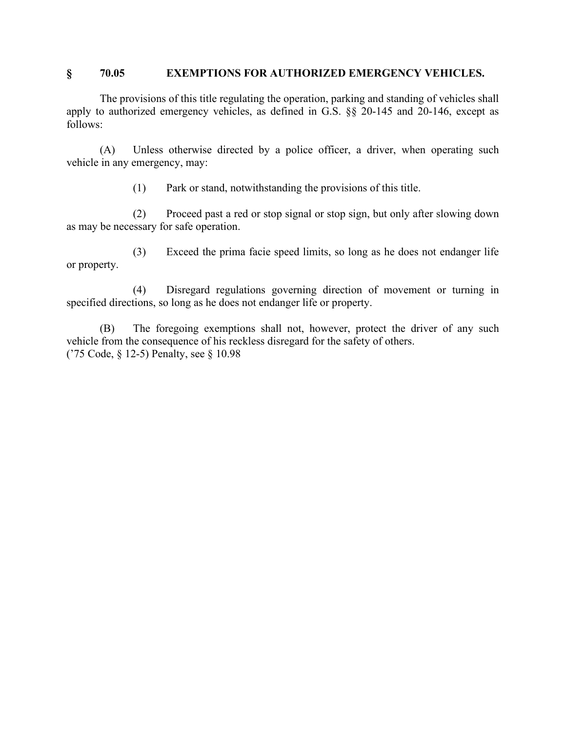#### **§ 70.05 EXEMPTIONS FOR AUTHORIZED EMERGENCY VEHICLES.**

The provisions of this title regulating the operation, parking and standing of vehicles shall apply to authorized emergency vehicles, as defined in G.S. §§ 20-145 and 20-146, except as follows:

(A) Unless otherwise directed by a police officer, a driver, when operating such vehicle in any emergency, may:

(1) Park or stand, notwithstanding the provisions of this title.

(2) Proceed past a red or stop signal or stop sign, but only after slowing down as may be necessary for safe operation.

(3) Exceed the prima facie speed limits, so long as he does not endanger life or property.

(4) Disregard regulations governing direction of movement or turning in specified directions, so long as he does not endanger life or property.

(B) The foregoing exemptions shall not, however, protect the driver of any such vehicle from the consequence of his reckless disregard for the safety of others. ('75 Code, § 12-5) Penalty, see § 10.98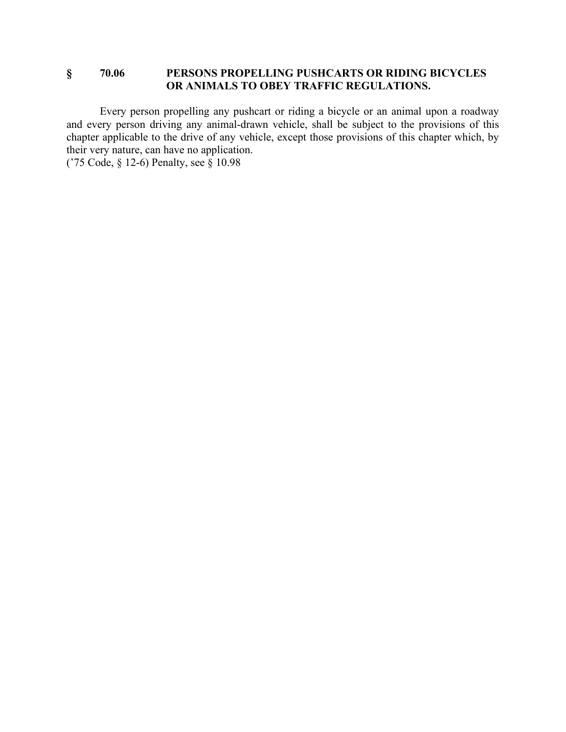### **§ 70.06 PERSONS PROPELLING PUSHCARTS OR RIDING BICYCLES OR ANIMALS TO OBEY TRAFFIC REGULATIONS.**

Every person propelling any pushcart or riding a bicycle or an animal upon a roadway and every person driving any animal-drawn vehicle, shall be subject to the provisions of this chapter applicable to the drive of any vehicle, except those provisions of this chapter which, by their very nature, can have no application.

('75 Code, § 12-6) Penalty, see § 10.98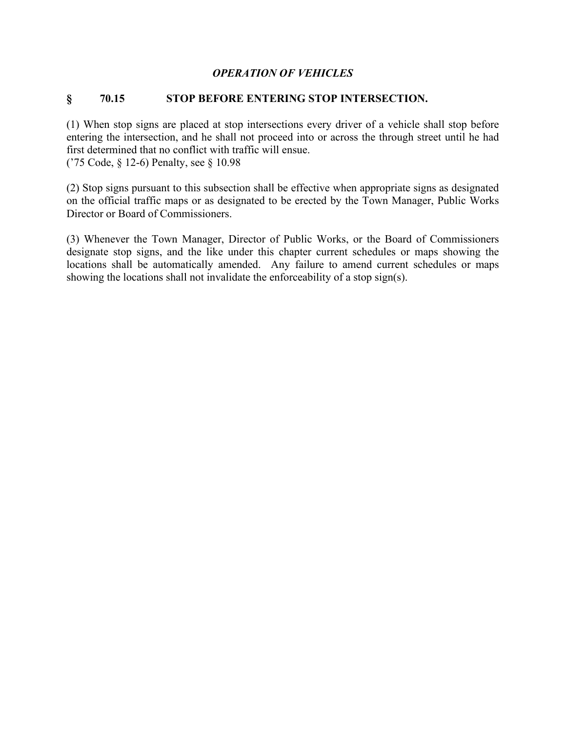#### *OPERATION OF VEHICLES*

#### **§ 70.15 STOP BEFORE ENTERING STOP INTERSECTION.**

(1) When stop signs are placed at stop intersections every driver of a vehicle shall stop before entering the intersection, and he shall not proceed into or across the through street until he had first determined that no conflict with traffic will ensue.

('75 Code, § 12-6) Penalty, see § 10.98

(2) Stop signs pursuant to this subsection shall be effective when appropriate signs as designated on the official traffic maps or as designated to be erected by the Town Manager, Public Works Director or Board of Commissioners.

(3) Whenever the Town Manager, Director of Public Works, or the Board of Commissioners designate stop signs, and the like under this chapter current schedules or maps showing the locations shall be automatically amended. Any failure to amend current schedules or maps showing the locations shall not invalidate the enforceability of a stop sign(s).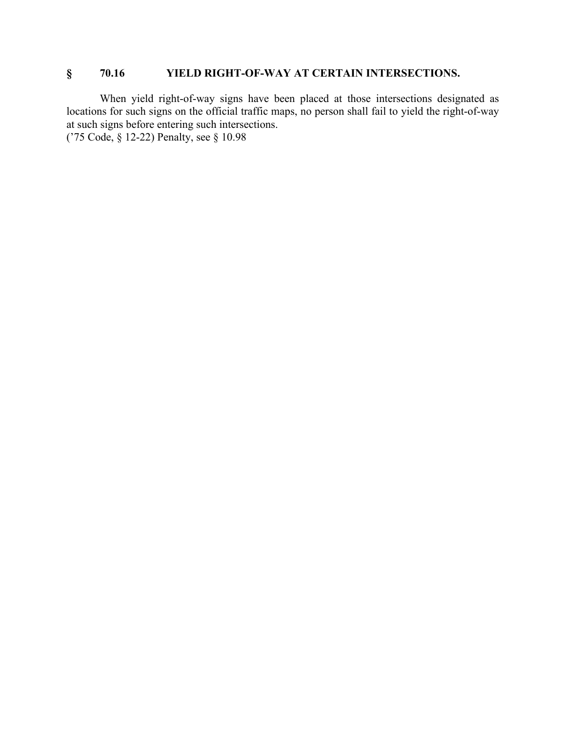### **§ 70.16 YIELD RIGHT-OF-WAY AT CERTAIN INTERSECTIONS.**

When yield right-of-way signs have been placed at those intersections designated as locations for such signs on the official traffic maps, no person shall fail to yield the right-of-way at such signs before entering such intersections.

('75 Code, § 12-22) Penalty, see § 10.98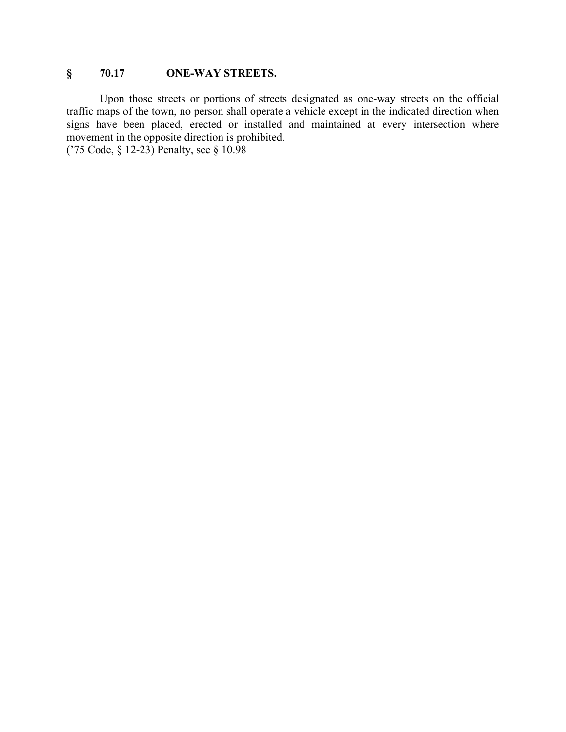### **§ 70.17 ONE-WAY STREETS.**

Upon those streets or portions of streets designated as one-way streets on the official traffic maps of the town, no person shall operate a vehicle except in the indicated direction when signs have been placed, erected or installed and maintained at every intersection where movement in the opposite direction is prohibited.

('75 Code, § 12-23) Penalty, see § 10.98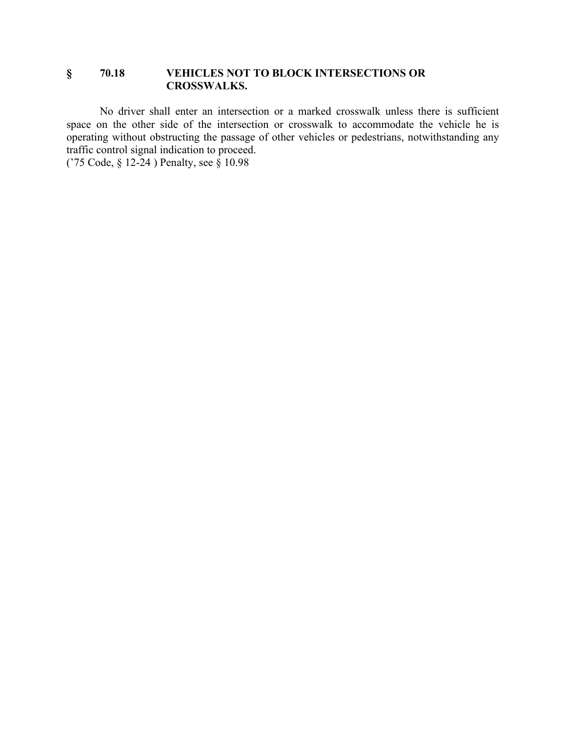### **§ 70.18 VEHICLES NOT TO BLOCK INTERSECTIONS OR CROSSWALKS.**

No driver shall enter an intersection or a marked crosswalk unless there is sufficient space on the other side of the intersection or crosswalk to accommodate the vehicle he is operating without obstructing the passage of other vehicles or pedestrians, notwithstanding any traffic control signal indication to proceed.

('75 Code, § 12-24 ) Penalty, see § 10.98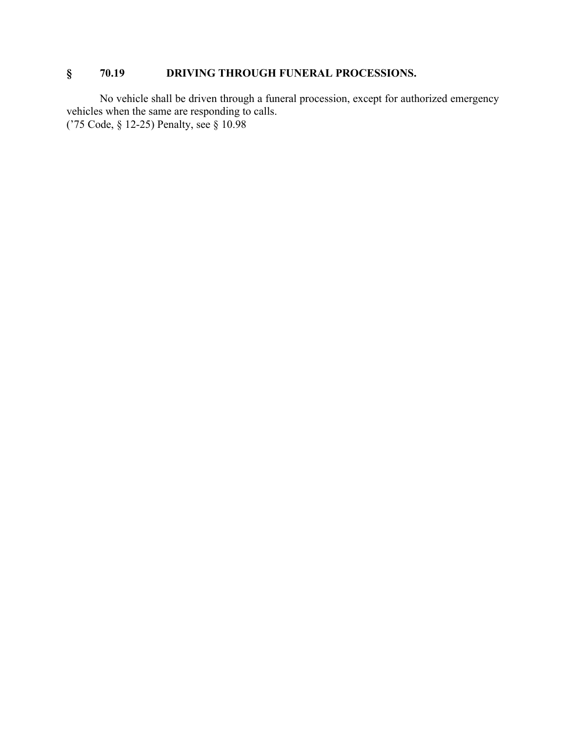# **§ 70.19 DRIVING THROUGH FUNERAL PROCESSIONS.**

No vehicle shall be driven through a funeral procession, except for authorized emergency vehicles when the same are responding to calls. ('75 Code, § 12-25) Penalty, see § 10.98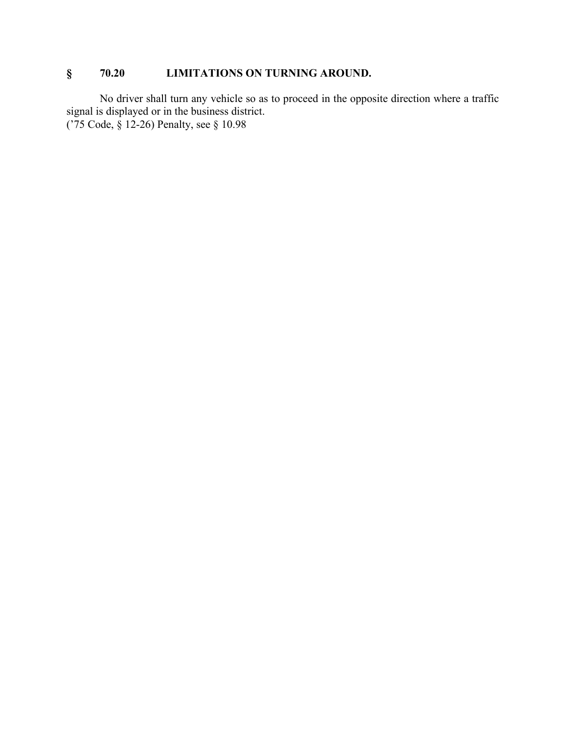## **§ 70.20 LIMITATIONS ON TURNING AROUND.**

No driver shall turn any vehicle so as to proceed in the opposite direction where a traffic signal is displayed or in the business district. ('75 Code, § 12-26) Penalty, see § 10.98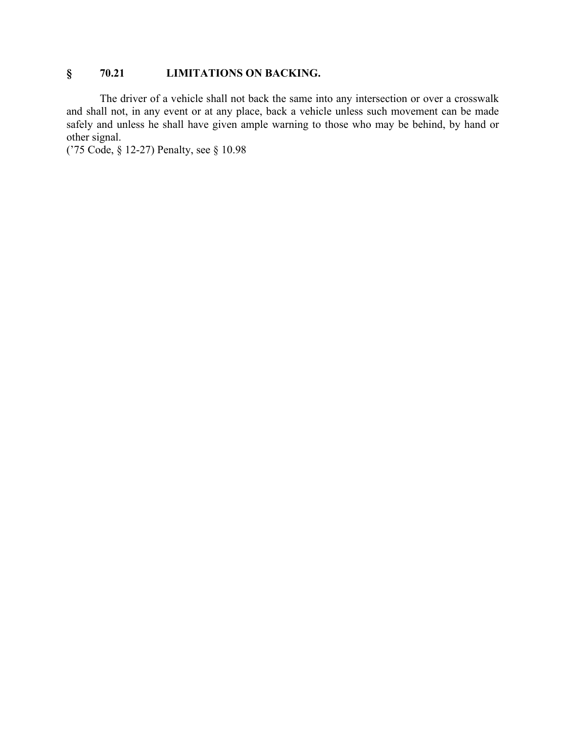### **§ 70.21 LIMITATIONS ON BACKING.**

The driver of a vehicle shall not back the same into any intersection or over a crosswalk and shall not, in any event or at any place, back a vehicle unless such movement can be made safely and unless he shall have given ample warning to those who may be behind, by hand or other signal.

('75 Code, § 12-27) Penalty, see § 10.98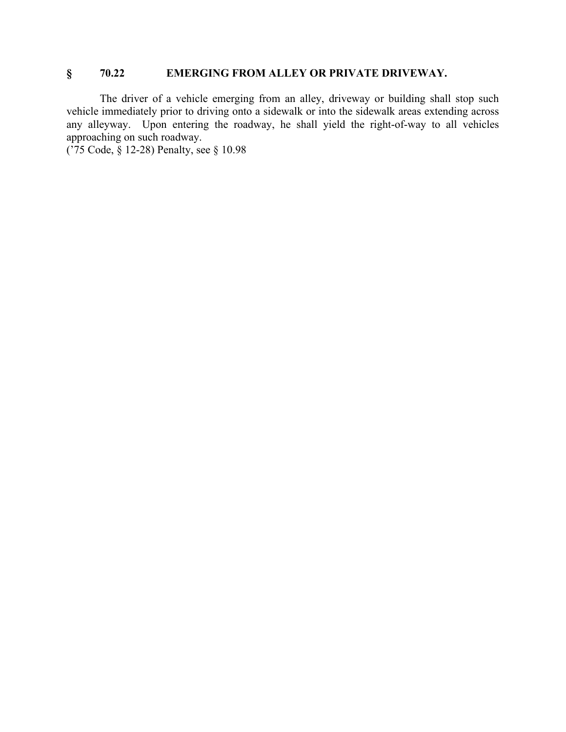### **§ 70.22 EMERGING FROM ALLEY OR PRIVATE DRIVEWAY.**

The driver of a vehicle emerging from an alley, driveway or building shall stop such vehicle immediately prior to driving onto a sidewalk or into the sidewalk areas extending across any alleyway. Upon entering the roadway, he shall yield the right-of-way to all vehicles approaching on such roadway.

('75 Code, § 12-28) Penalty, see § 10.98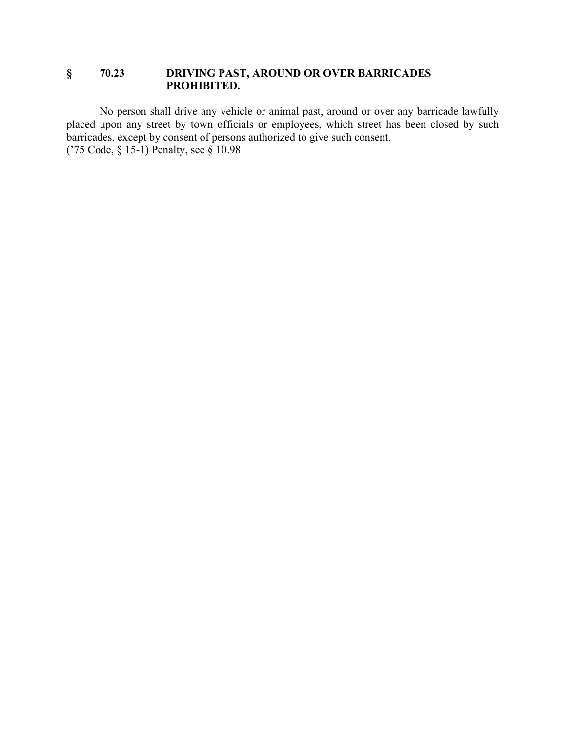### **§ 70.23 DRIVING PAST, AROUND OR OVER BARRICADES PROHIBITED.**

No person shall drive any vehicle or animal past, around or over any barricade lawfully placed upon any street by town officials or employees, which street has been closed by such barricades, except by consent of persons authorized to give such consent. ('75 Code, § 15-1) Penalty, see § 10.98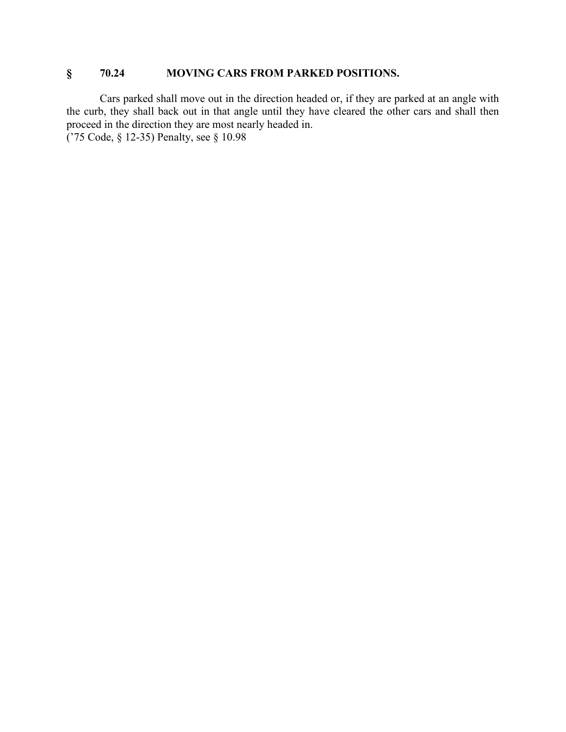### **§ 70.24 MOVING CARS FROM PARKED POSITIONS.**

Cars parked shall move out in the direction headed or, if they are parked at an angle with the curb, they shall back out in that angle until they have cleared the other cars and shall then proceed in the direction they are most nearly headed in.

('75 Code, § 12-35) Penalty, see § 10.98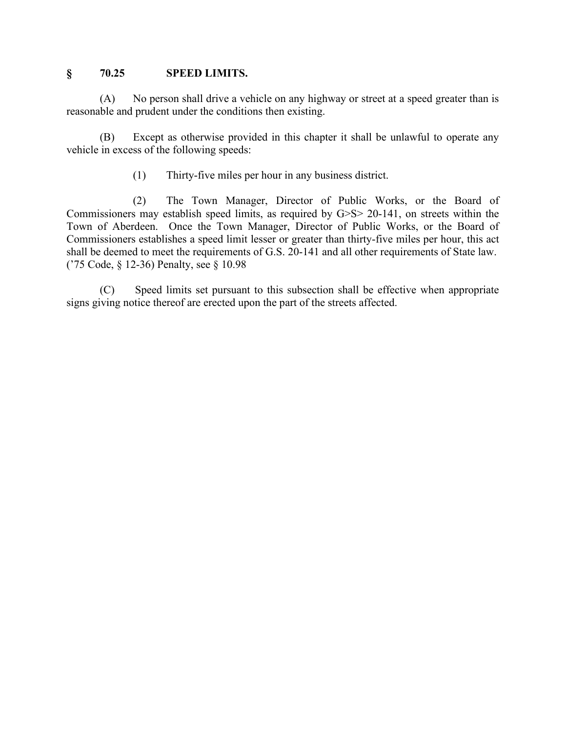#### **§ 70.25 SPEED LIMITS.**

(A) No person shall drive a vehicle on any highway or street at a speed greater than is reasonable and prudent under the conditions then existing.

(B) Except as otherwise provided in this chapter it shall be unlawful to operate any vehicle in excess of the following speeds:

(1) Thirty-five miles per hour in any business district.

(2) The Town Manager, Director of Public Works, or the Board of Commissioners may establish speed limits, as required by G>S> 20-141, on streets within the Town of Aberdeen. Once the Town Manager, Director of Public Works, or the Board of Commissioners establishes a speed limit lesser or greater than thirty-five miles per hour, this act shall be deemed to meet the requirements of G.S. 20-141 and all other requirements of State law. ('75 Code, § 12-36) Penalty, see § 10.98

(C) Speed limits set pursuant to this subsection shall be effective when appropriate signs giving notice thereof are erected upon the part of the streets affected.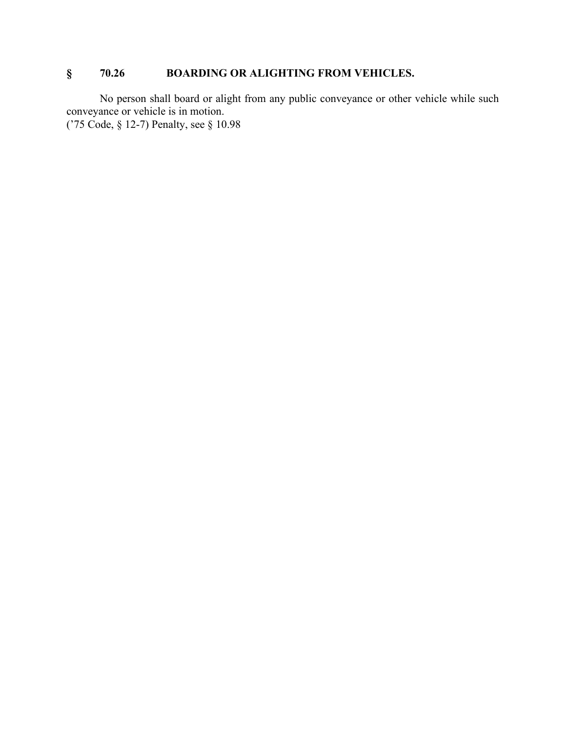## **§ 70.26 BOARDING OR ALIGHTING FROM VEHICLES.**

No person shall board or alight from any public conveyance or other vehicle while such conveyance or vehicle is in motion. ('75 Code, § 12-7) Penalty, see § 10.98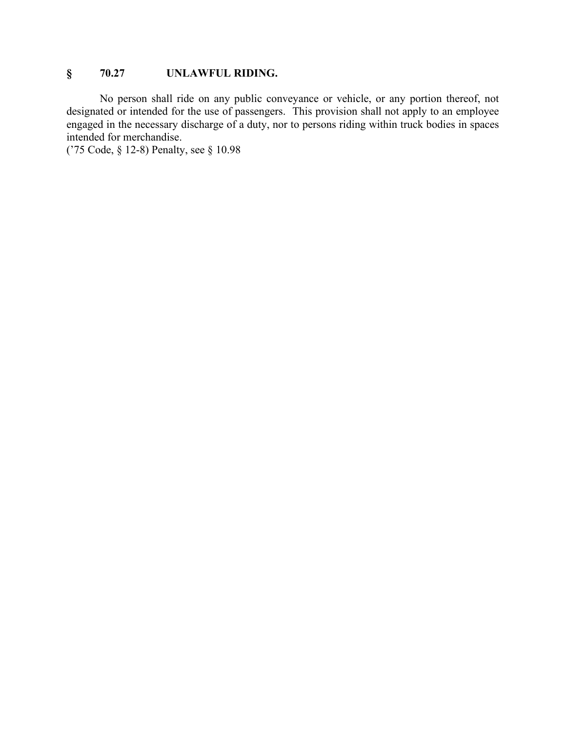### **§ 70.27 UNLAWFUL RIDING.**

No person shall ride on any public conveyance or vehicle, or any portion thereof, not designated or intended for the use of passengers. This provision shall not apply to an employee engaged in the necessary discharge of a duty, nor to persons riding within truck bodies in spaces intended for merchandise.

('75 Code, § 12-8) Penalty, see § 10.98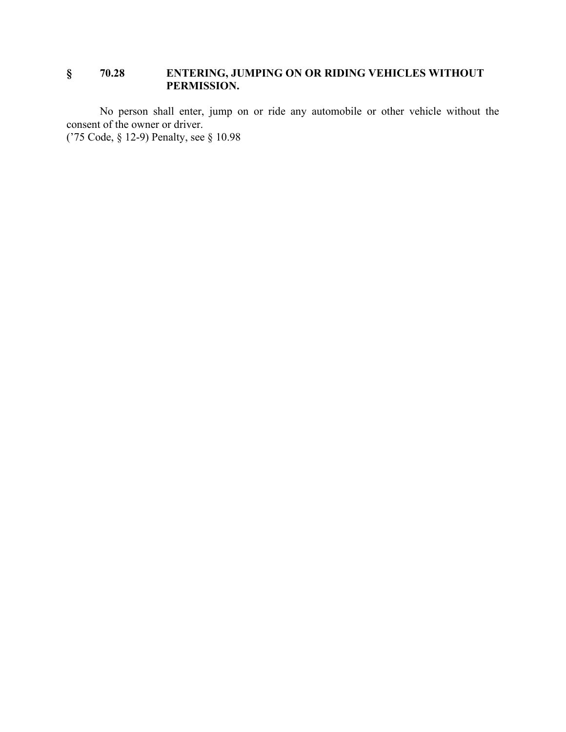### **§ 70.28 ENTERING, JUMPING ON OR RIDING VEHICLES WITHOUT PERMISSION.**

No person shall enter, jump on or ride any automobile or other vehicle without the consent of the owner or driver.

('75 Code, § 12-9) Penalty, see § 10.98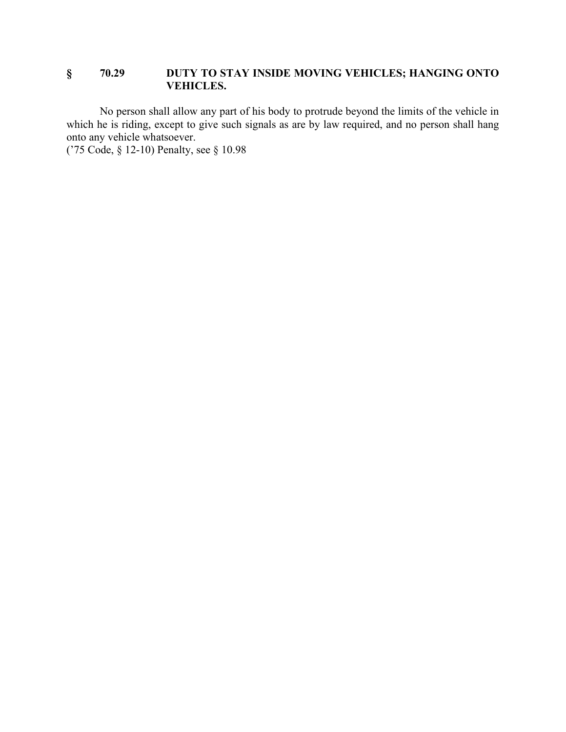### **§ 70.29 DUTY TO STAY INSIDE MOVING VEHICLES; HANGING ONTO VEHICLES.**

No person shall allow any part of his body to protrude beyond the limits of the vehicle in which he is riding, except to give such signals as are by law required, and no person shall hang onto any vehicle whatsoever.

('75 Code, § 12-10) Penalty, see § 10.98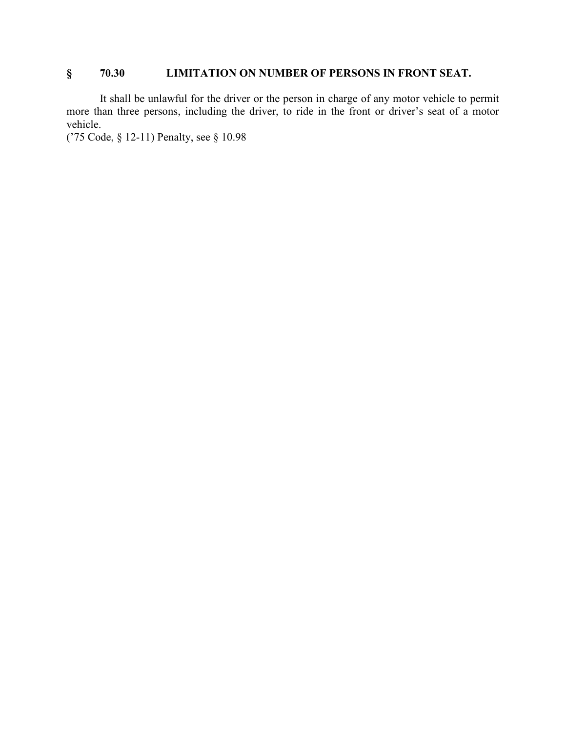## **§ 70.30 LIMITATION ON NUMBER OF PERSONS IN FRONT SEAT.**

It shall be unlawful for the driver or the person in charge of any motor vehicle to permit more than three persons, including the driver, to ride in the front or driver's seat of a motor vehicle.

('75 Code, § 12-11) Penalty, see § 10.98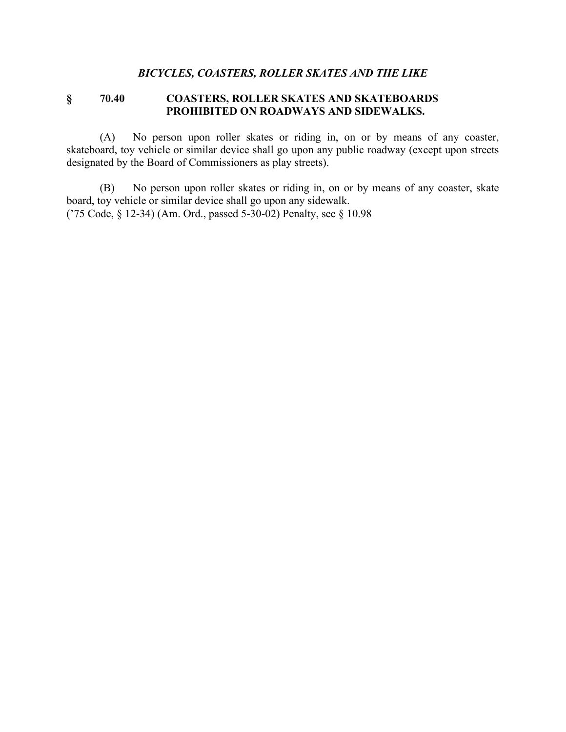### *BICYCLES, COASTERS, ROLLER SKATES AND THE LIKE*

### **§ 70.40 COASTERS, ROLLER SKATES AND SKATEBOARDS PROHIBITED ON ROADWAYS AND SIDEWALKS.**

(A) No person upon roller skates or riding in, on or by means of any coaster, skateboard, toy vehicle or similar device shall go upon any public roadway (except upon streets designated by the Board of Commissioners as play streets).

(B) No person upon roller skates or riding in, on or by means of any coaster, skate board, toy vehicle or similar device shall go upon any sidewalk. ('75 Code, § 12-34) (Am. Ord., passed 5-30-02) Penalty, see § 10.98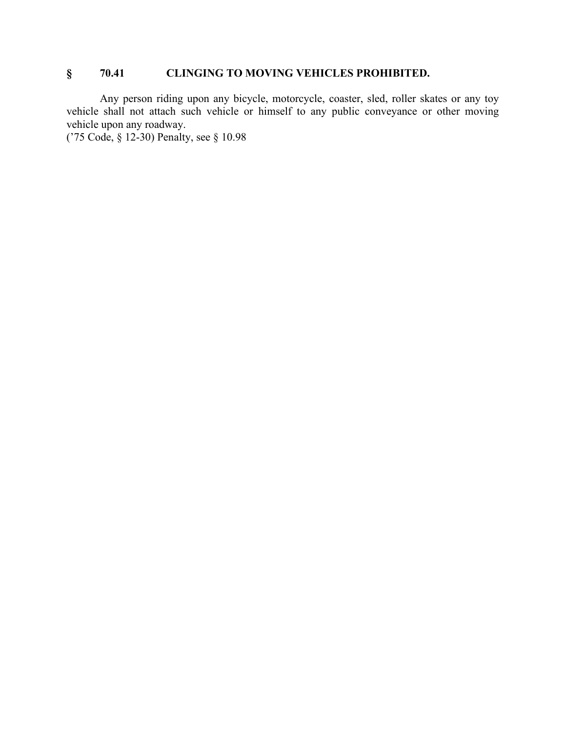## **§ 70.41 CLINGING TO MOVING VEHICLES PROHIBITED.**

Any person riding upon any bicycle, motorcycle, coaster, sled, roller skates or any toy vehicle shall not attach such vehicle or himself to any public conveyance or other moving vehicle upon any roadway.

('75 Code, § 12-30) Penalty, see § 10.98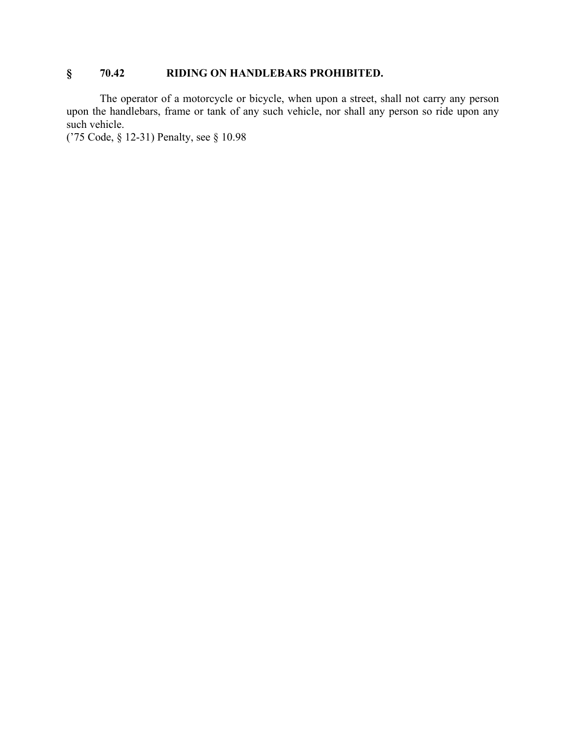### **§ 70.42 RIDING ON HANDLEBARS PROHIBITED.**

The operator of a motorcycle or bicycle, when upon a street, shall not carry any person upon the handlebars, frame or tank of any such vehicle, nor shall any person so ride upon any such vehicle.

('75 Code, § 12-31) Penalty, see § 10.98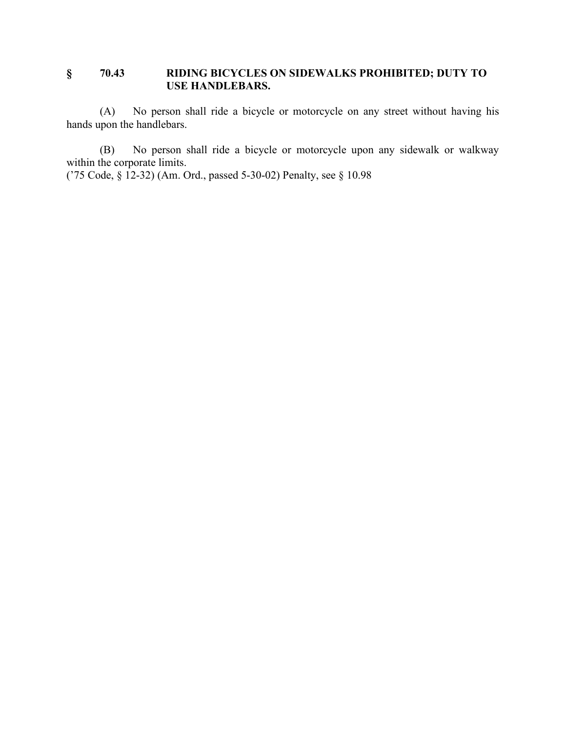### **§ 70.43 RIDING BICYCLES ON SIDEWALKS PROHIBITED; DUTY TO USE HANDLEBARS.**

(A) No person shall ride a bicycle or motorcycle on any street without having his hands upon the handlebars.

(B) No person shall ride a bicycle or motorcycle upon any sidewalk or walkway within the corporate limits.

('75 Code, § 12-32) (Am. Ord., passed 5-30-02) Penalty, see § 10.98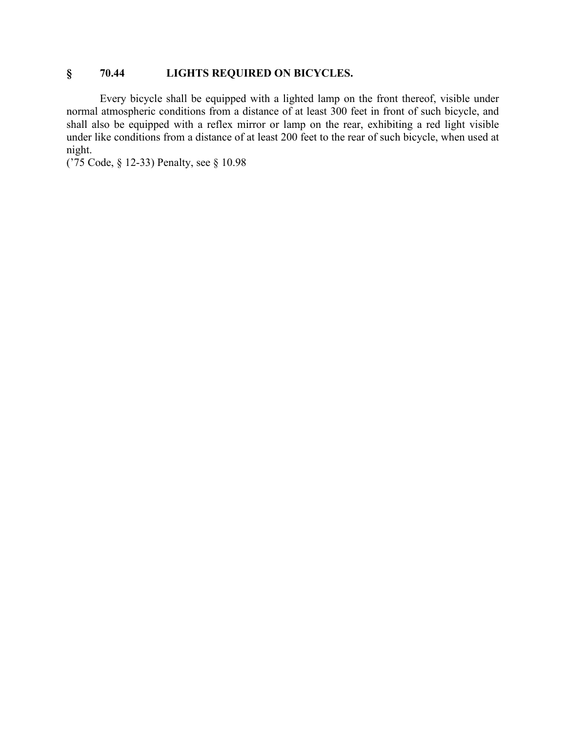### **§ 70.44 LIGHTS REQUIRED ON BICYCLES.**

Every bicycle shall be equipped with a lighted lamp on the front thereof, visible under normal atmospheric conditions from a distance of at least 300 feet in front of such bicycle, and shall also be equipped with a reflex mirror or lamp on the rear, exhibiting a red light visible under like conditions from a distance of at least 200 feet to the rear of such bicycle, when used at night.

('75 Code, § 12-33) Penalty, see § 10.98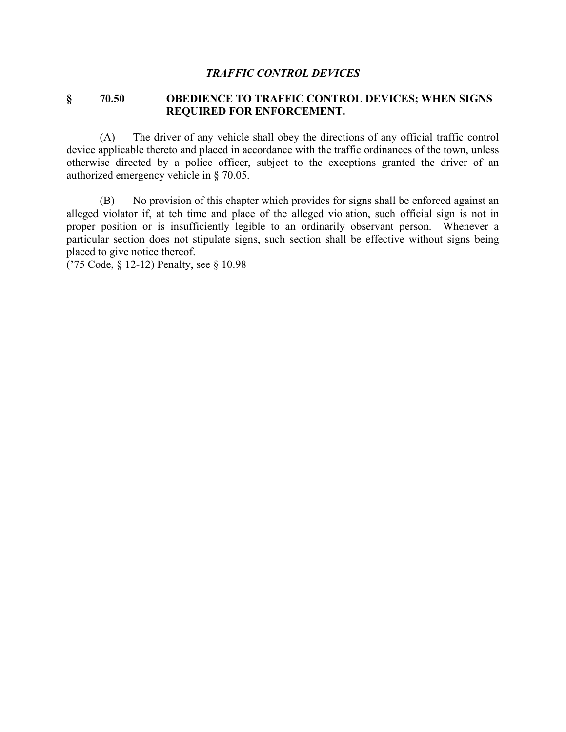#### *TRAFFIC CONTROL DEVICES*

#### **§ 70.50 OBEDIENCE TO TRAFFIC CONTROL DEVICES; WHEN SIGNS REQUIRED FOR ENFORCEMENT.**

(A) The driver of any vehicle shall obey the directions of any official traffic control device applicable thereto and placed in accordance with the traffic ordinances of the town, unless otherwise directed by a police officer, subject to the exceptions granted the driver of an authorized emergency vehicle in § 70.05.

(B) No provision of this chapter which provides for signs shall be enforced against an alleged violator if, at teh time and place of the alleged violation, such official sign is not in proper position or is insufficiently legible to an ordinarily observant person. Whenever a particular section does not stipulate signs, such section shall be effective without signs being placed to give notice thereof.

('75 Code, § 12-12) Penalty, see § 10.98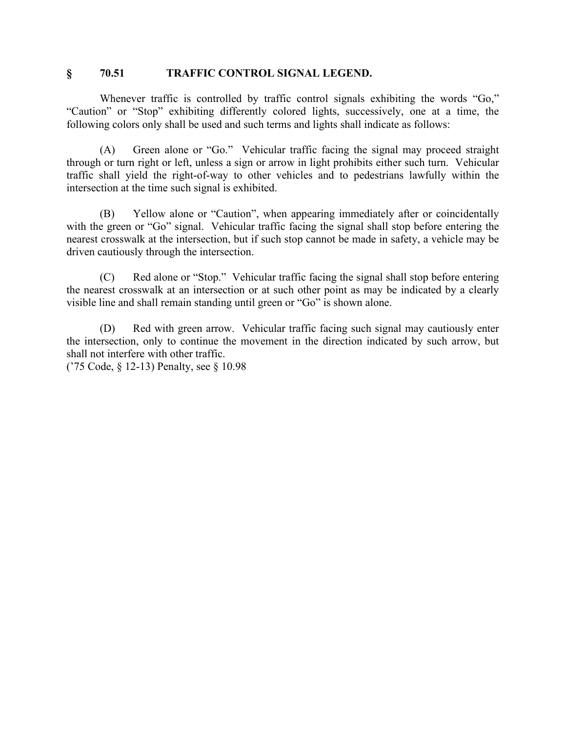#### **§ 70.51 TRAFFIC CONTROL SIGNAL LEGEND.**

Whenever traffic is controlled by traffic control signals exhibiting the words "Go," "Caution" or "Stop" exhibiting differently colored lights, successively, one at a time, the following colors only shall be used and such terms and lights shall indicate as follows:

(A) Green alone or "Go." Vehicular traffic facing the signal may proceed straight through or turn right or left, unless a sign or arrow in light prohibits either such turn. Vehicular traffic shall yield the right-of-way to other vehicles and to pedestrians lawfully within the intersection at the time such signal is exhibited.

(B) Yellow alone or "Caution", when appearing immediately after or coincidentally with the green or "Go" signal. Vehicular traffic facing the signal shall stop before entering the nearest crosswalk at the intersection, but if such stop cannot be made in safety, a vehicle may be driven cautiously through the intersection.

(C) Red alone or "Stop." Vehicular traffic facing the signal shall stop before entering the nearest crosswalk at an intersection or at such other point as may be indicated by a clearly visible line and shall remain standing until green or "Go" is shown alone.

(D) Red with green arrow. Vehicular traffic facing such signal may cautiously enter the intersection, only to continue the movement in the direction indicated by such arrow, but shall not interfere with other traffic.

('75 Code, § 12-13) Penalty, see § 10.98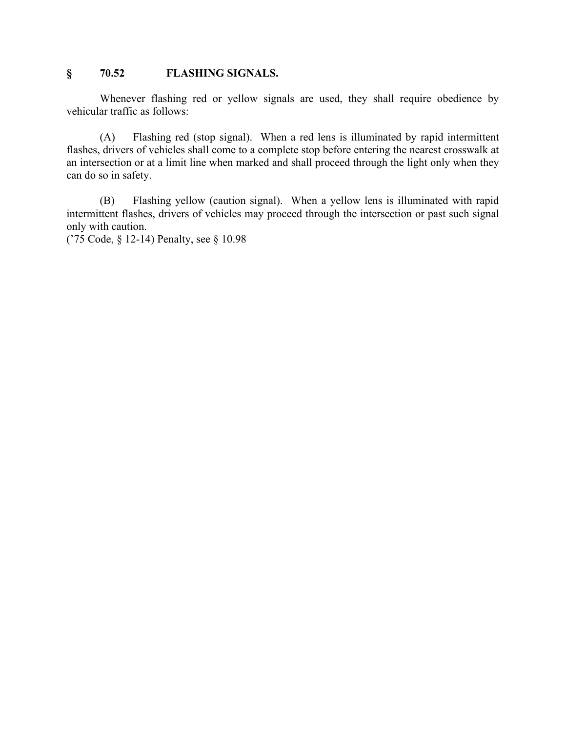### **§ 70.52 FLASHING SIGNALS.**

Whenever flashing red or yellow signals are used, they shall require obedience by vehicular traffic as follows:

(A) Flashing red (stop signal). When a red lens is illuminated by rapid intermittent flashes, drivers of vehicles shall come to a complete stop before entering the nearest crosswalk at an intersection or at a limit line when marked and shall proceed through the light only when they can do so in safety.

(B) Flashing yellow (caution signal). When a yellow lens is illuminated with rapid intermittent flashes, drivers of vehicles may proceed through the intersection or past such signal only with caution.

('75 Code, § 12-14) Penalty, see § 10.98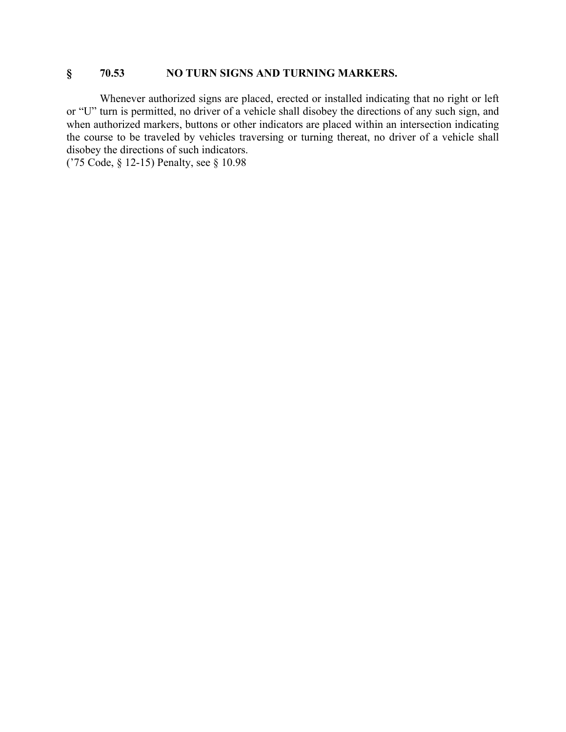#### **§ 70.53 NO TURN SIGNS AND TURNING MARKERS.**

Whenever authorized signs are placed, erected or installed indicating that no right or left or "U" turn is permitted, no driver of a vehicle shall disobey the directions of any such sign, and when authorized markers, buttons or other indicators are placed within an intersection indicating the course to be traveled by vehicles traversing or turning thereat, no driver of a vehicle shall disobey the directions of such indicators.

('75 Code, § 12-15) Penalty, see § 10.98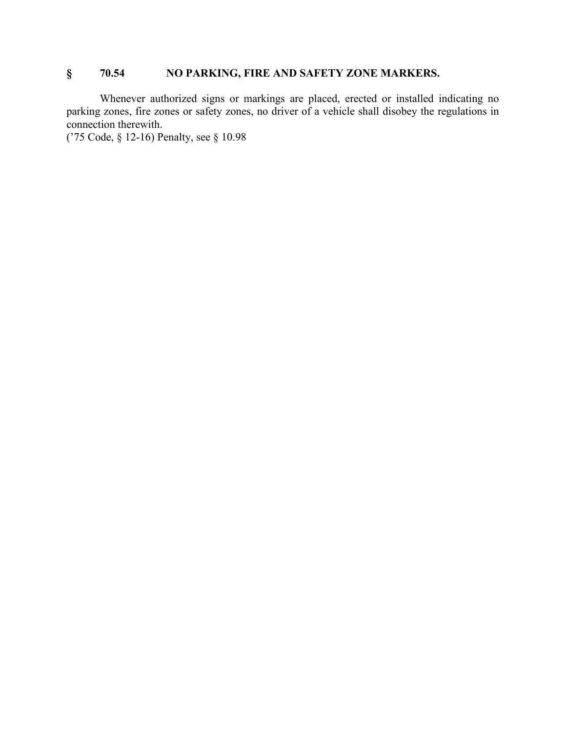### **§ 70.54 NO PARKING, FIRE AND SAFETY ZONE MARKERS.**

Whenever authorized signs or markings are placed, erected or installed indicating no parking zones, fire zones or safety zones, no driver of a vehicle shall disobey the regulations in connection therewith.

('75 Code, § 12-16) Penalty, see § 10.98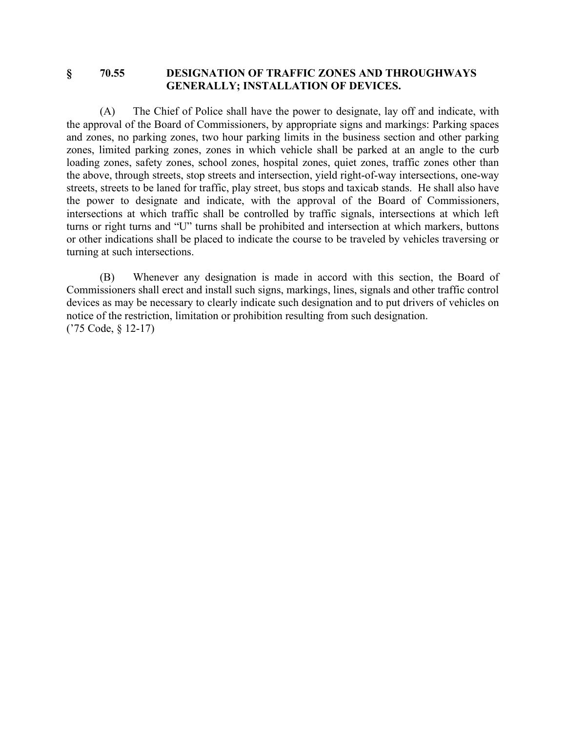#### **§ 70.55 DESIGNATION OF TRAFFIC ZONES AND THROUGHWAYS GENERALLY; INSTALLATION OF DEVICES.**

(A) The Chief of Police shall have the power to designate, lay off and indicate, with the approval of the Board of Commissioners, by appropriate signs and markings: Parking spaces and zones, no parking zones, two hour parking limits in the business section and other parking zones, limited parking zones, zones in which vehicle shall be parked at an angle to the curb loading zones, safety zones, school zones, hospital zones, quiet zones, traffic zones other than the above, through streets, stop streets and intersection, yield right-of-way intersections, one-way streets, streets to be laned for traffic, play street, bus stops and taxicab stands. He shall also have the power to designate and indicate, with the approval of the Board of Commissioners, intersections at which traffic shall be controlled by traffic signals, intersections at which left turns or right turns and "U" turns shall be prohibited and intersection at which markers, buttons or other indications shall be placed to indicate the course to be traveled by vehicles traversing or turning at such intersections.

(B) Whenever any designation is made in accord with this section, the Board of Commissioners shall erect and install such signs, markings, lines, signals and other traffic control devices as may be necessary to clearly indicate such designation and to put drivers of vehicles on notice of the restriction, limitation or prohibition resulting from such designation. ('75 Code, § 12-17)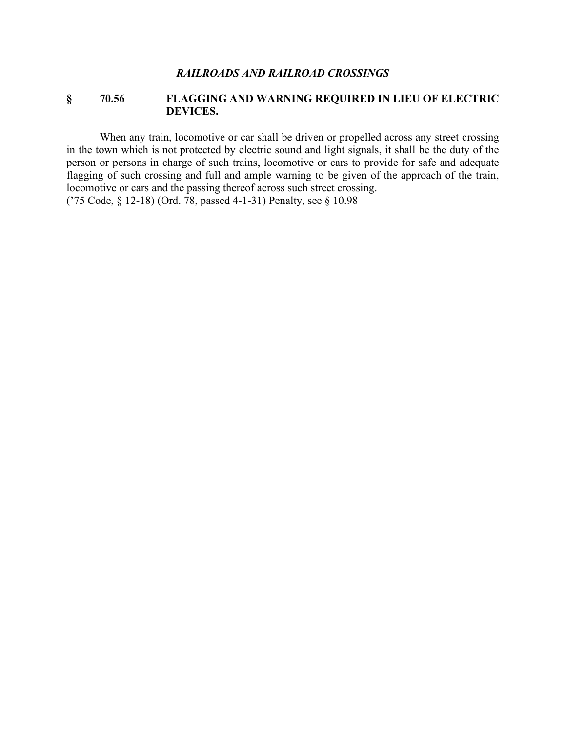#### **§ 70.56 FLAGGING AND WARNING REQUIRED IN LIEU OF ELECTRIC DEVICES.**

When any train, locomotive or car shall be driven or propelled across any street crossing in the town which is not protected by electric sound and light signals, it shall be the duty of the person or persons in charge of such trains, locomotive or cars to provide for safe and adequate flagging of such crossing and full and ample warning to be given of the approach of the train, locomotive or cars and the passing thereof across such street crossing.

('75 Code, § 12-18) (Ord. 78, passed 4-1-31) Penalty, see § 10.98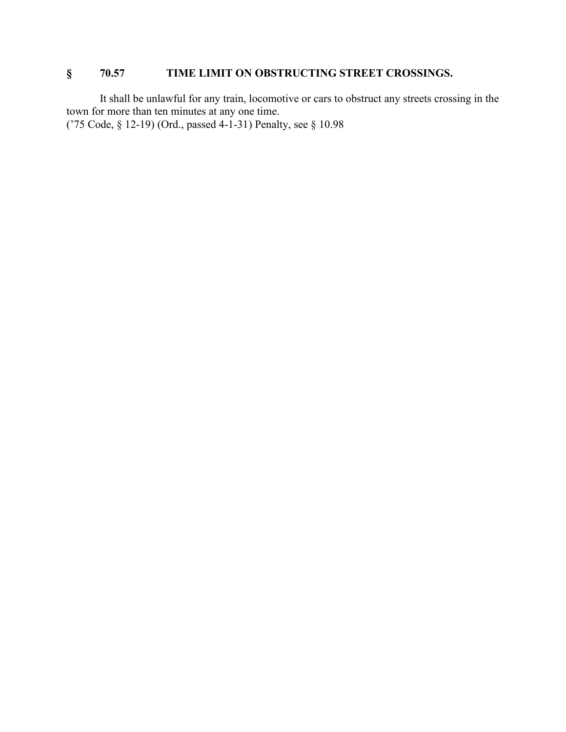## **§ 70.57 TIME LIMIT ON OBSTRUCTING STREET CROSSINGS.**

It shall be unlawful for any train, locomotive or cars to obstruct any streets crossing in the town for more than ten minutes at any one time. ('75 Code, § 12-19) (Ord., passed 4-1-31) Penalty, see § 10.98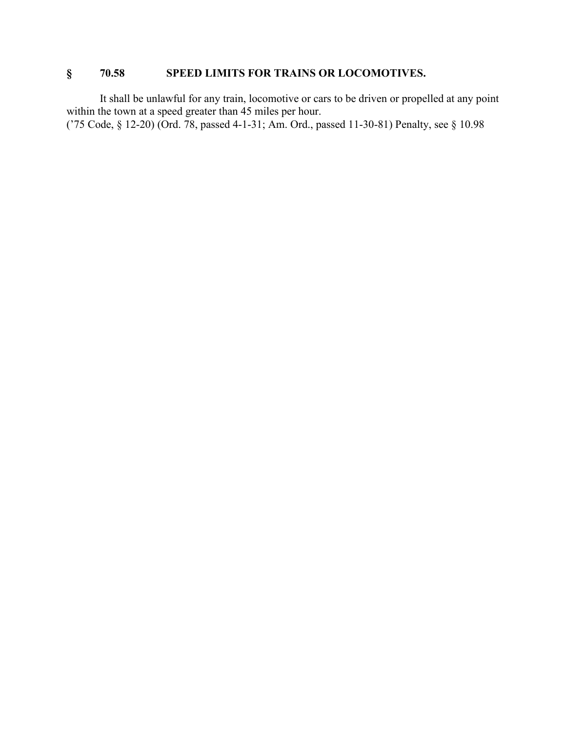## **§ 70.58 SPEED LIMITS FOR TRAINS OR LOCOMOTIVES.**

It shall be unlawful for any train, locomotive or cars to be driven or propelled at any point within the town at a speed greater than 45 miles per hour.

('75 Code, § 12-20) (Ord. 78, passed 4-1-31; Am. Ord., passed 11-30-81) Penalty, see § 10.98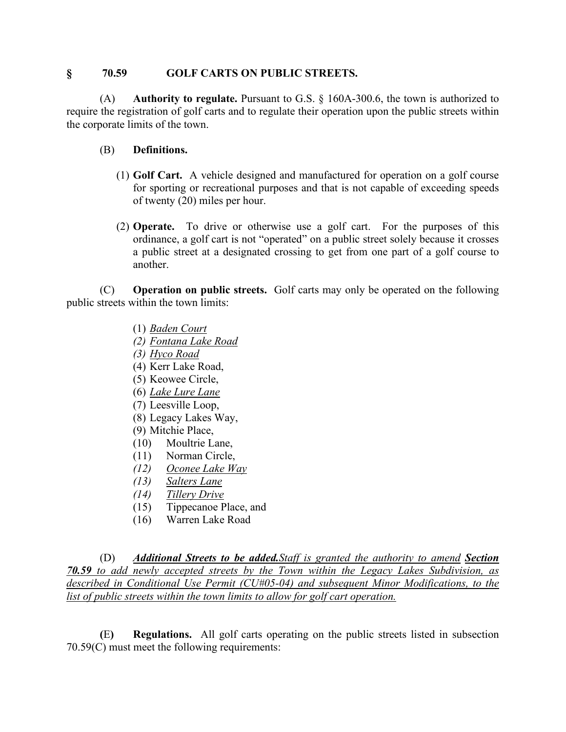#### **§ 70.59 GOLF CARTS ON PUBLIC STREETS.**

(A) **Authority to regulate.** Pursuant to G.S. § 160A-300.6, the town is authorized to require the registration of golf carts and to regulate their operation upon the public streets within the corporate limits of the town.

- (B) **Definitions.**
	- (1) **Golf Cart.** A vehicle designed and manufactured for operation on a golf course for sporting or recreational purposes and that is not capable of exceeding speeds of twenty (20) miles per hour.
	- (2) **Operate.** To drive or otherwise use a golf cart. For the purposes of this ordinance, a golf cart is not "operated" on a public street solely because it crosses a public street at a designated crossing to get from one part of a golf course to another.

(C) **Operation on public streets.** Golf carts may only be operated on the following public streets within the town limits:

- (1) *Baden Court*
- *(2) Fontana Lake Road*
- *(3) Hyco Road*
- (4) Kerr Lake Road,
- (5) Keowee Circle,
- (6) *Lake Lure Lane*
- (7) Leesville Loop,
- (8) Legacy Lakes Way,
- (9) Mitchie Place,
- (10) Moultrie Lane,
- (11) Norman Circle,
- *(12) Oconee Lake Way*
- *(13) Salters Lane*
- *(14) Tillery Drive*
- (15) Tippecanoe Place, and
- (16) Warren Lake Road

(D) *Additional Streets to be added.Staff is granted the authority to amend Section 70.59 to add newly accepted streets by the Town within the Legacy Lakes Subdivision, as described in Conditional Use Permit (CU#05-04) and subsequent Minor Modifications, to the list of public streets within the town limits to allow for golf cart operation.*

**(**E**) Regulations.** All golf carts operating on the public streets listed in subsection 70.59(C) must meet the following requirements: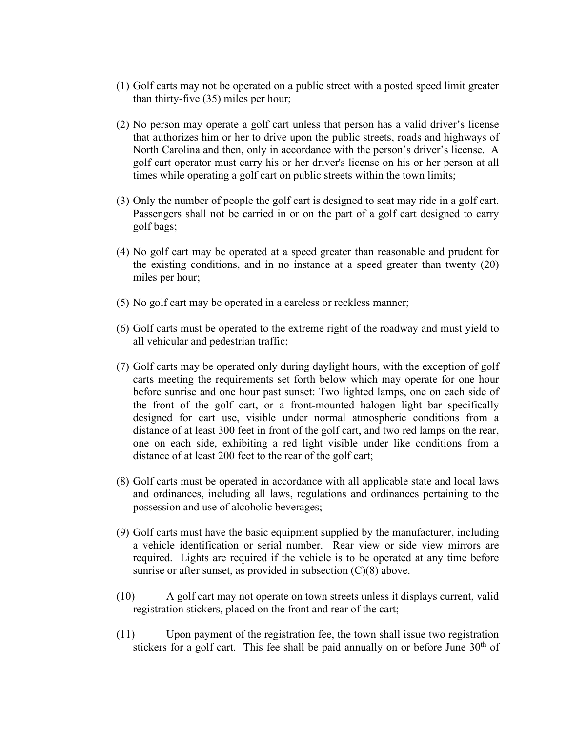- (1) Golf carts may not be operated on a public street with a posted speed limit greater than thirty-five (35) miles per hour;
- (2) No person may operate a golf cart unless that person has a valid driver's license that authorizes him or her to drive upon the public streets, roads and highways of North Carolina and then, only in accordance with the person's driver's license. A golf cart operator must carry his or her driver's license on his or her person at all times while operating a golf cart on public streets within the town limits;
- (3) Only the number of people the golf cart is designed to seat may ride in a golf cart. Passengers shall not be carried in or on the part of a golf cart designed to carry golf bags;
- (4) No golf cart may be operated at a speed greater than reasonable and prudent for the existing conditions, and in no instance at a speed greater than twenty (20) miles per hour;
- (5) No golf cart may be operated in a careless or reckless manner;
- (6) Golf carts must be operated to the extreme right of the roadway and must yield to all vehicular and pedestrian traffic;
- (7) Golf carts may be operated only during daylight hours, with the exception of golf carts meeting the requirements set forth below which may operate for one hour before sunrise and one hour past sunset: Two lighted lamps, one on each side of the front of the golf cart, or a front-mounted halogen light bar specifically designed for cart use, visible under normal atmospheric conditions from a distance of at least 300 feet in front of the golf cart, and two red lamps on the rear, one on each side, exhibiting a red light visible under like conditions from a distance of at least 200 feet to the rear of the golf cart;
- (8) Golf carts must be operated in accordance with all applicable state and local laws and ordinances, including all laws, regulations and ordinances pertaining to the possession and use of alcoholic beverages;
- (9) Golf carts must have the basic equipment supplied by the manufacturer, including a vehicle identification or serial number. Rear view or side view mirrors are required. Lights are required if the vehicle is to be operated at any time before sunrise or after sunset, as provided in subsection  $(C)(8)$  above.
- (10) A golf cart may not operate on town streets unless it displays current, valid registration stickers, placed on the front and rear of the cart;
- (11) Upon payment of the registration fee, the town shall issue two registration stickers for a golf cart. This fee shall be paid annually on or before June  $30<sup>th</sup>$  of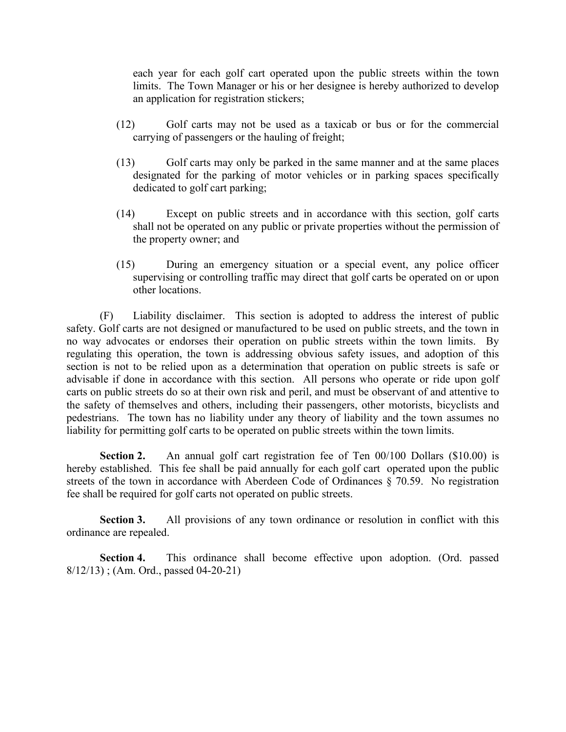each year for each golf cart operated upon the public streets within the town limits. The Town Manager or his or her designee is hereby authorized to develop an application for registration stickers;

- (12) Golf carts may not be used as a taxicab or bus or for the commercial carrying of passengers or the hauling of freight;
- (13) Golf carts may only be parked in the same manner and at the same places designated for the parking of motor vehicles or in parking spaces specifically dedicated to golf cart parking;
- (14) Except on public streets and in accordance with this section, golf carts shall not be operated on any public or private properties without the permission of the property owner; and
- (15) During an emergency situation or a special event, any police officer supervising or controlling traffic may direct that golf carts be operated on or upon other locations.

(F) Liability disclaimer. This section is adopted to address the interest of public safety. Golf carts are not designed or manufactured to be used on public streets, and the town in no way advocates or endorses their operation on public streets within the town limits. By regulating this operation, the town is addressing obvious safety issues, and adoption of this section is not to be relied upon as a determination that operation on public streets is safe or advisable if done in accordance with this section. All persons who operate or ride upon golf carts on public streets do so at their own risk and peril, and must be observant of and attentive to the safety of themselves and others, including their passengers, other motorists, bicyclists and pedestrians. The town has no liability under any theory of liability and the town assumes no liability for permitting golf carts to be operated on public streets within the town limits.

**Section 2.** An annual golf cart registration fee of Ten 00/100 Dollars (\$10.00) is hereby established. This fee shall be paid annually for each golf cart operated upon the public streets of the town in accordance with Aberdeen Code of Ordinances § 70.59. No registration fee shall be required for golf carts not operated on public streets.

**Section 3.** All provisions of any town ordinance or resolution in conflict with this ordinance are repealed.

**Section 4.** This ordinance shall become effective upon adoption. (Ord. passed 8/12/13) ; (Am. Ord., passed 04-20-21)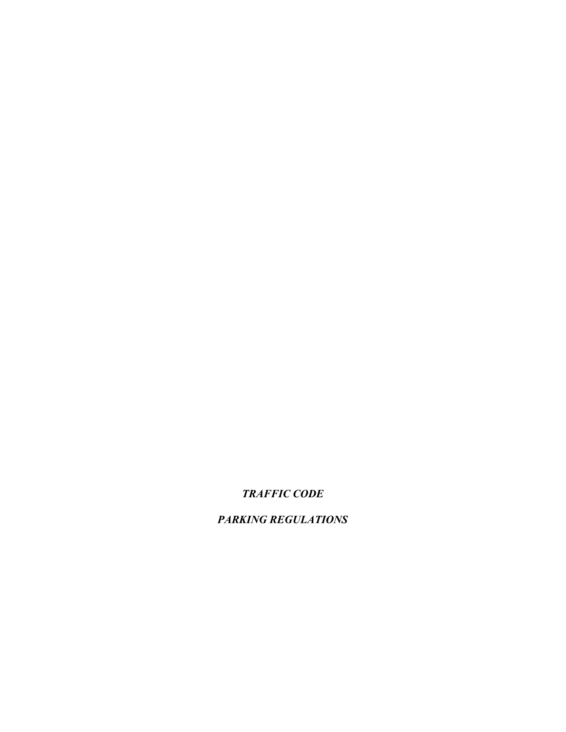## *TRAFFIC CODE*

*PARKING REGULATIONS*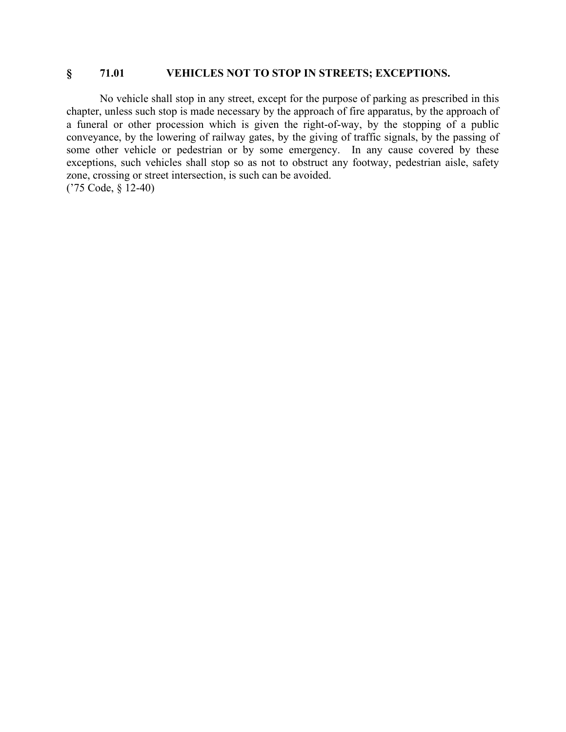#### **§ 71.01 VEHICLES NOT TO STOP IN STREETS; EXCEPTIONS.**

No vehicle shall stop in any street, except for the purpose of parking as prescribed in this chapter, unless such stop is made necessary by the approach of fire apparatus, by the approach of a funeral or other procession which is given the right-of-way, by the stopping of a public conveyance, by the lowering of railway gates, by the giving of traffic signals, by the passing of some other vehicle or pedestrian or by some emergency. In any cause covered by these exceptions, such vehicles shall stop so as not to obstruct any footway, pedestrian aisle, safety zone, crossing or street intersection, is such can be avoided. ('75 Code, § 12-40)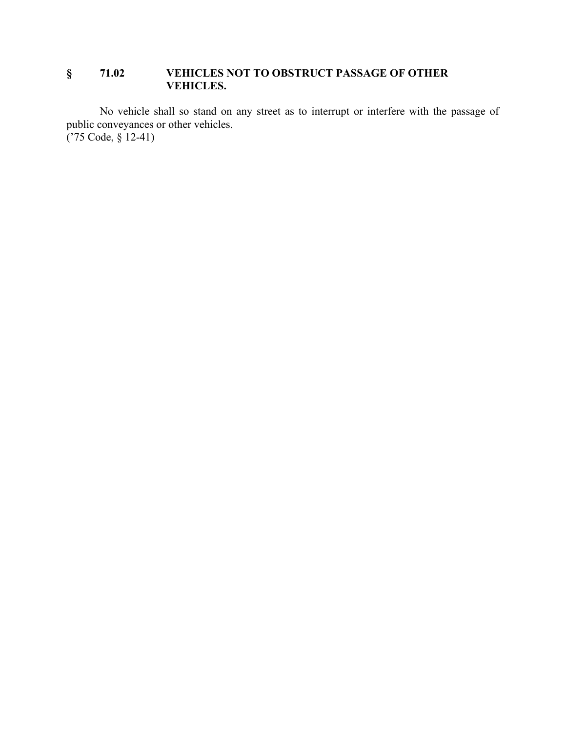### **§ 71.02 VEHICLES NOT TO OBSTRUCT PASSAGE OF OTHER VEHICLES.**

No vehicle shall so stand on any street as to interrupt or interfere with the passage of public conveyances or other vehicles. ('75 Code, § 12-41)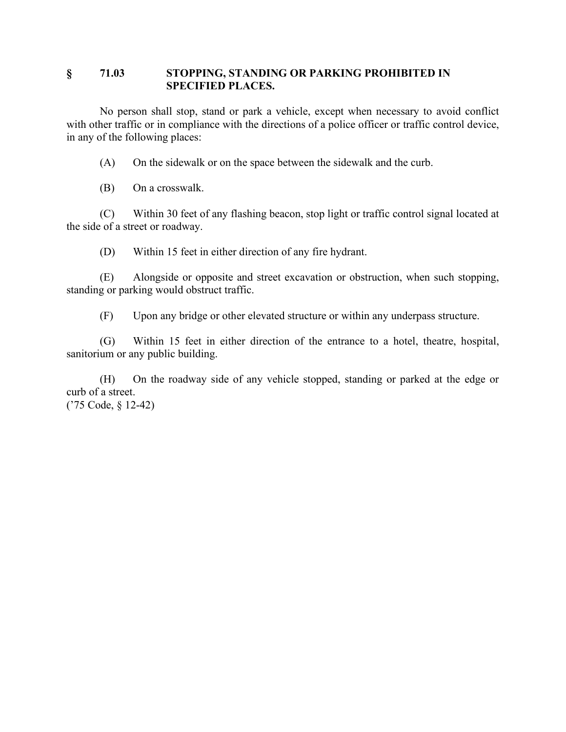### **§ 71.03 STOPPING, STANDING OR PARKING PROHIBITED IN SPECIFIED PLACES.**

No person shall stop, stand or park a vehicle, except when necessary to avoid conflict with other traffic or in compliance with the directions of a police officer or traffic control device, in any of the following places:

(A) On the sidewalk or on the space between the sidewalk and the curb.

(B) On a crosswalk.

(C) Within 30 feet of any flashing beacon, stop light or traffic control signal located at the side of a street or roadway.

(D) Within 15 feet in either direction of any fire hydrant.

(E) Alongside or opposite and street excavation or obstruction, when such stopping, standing or parking would obstruct traffic.

(F) Upon any bridge or other elevated structure or within any underpass structure.

(G) Within 15 feet in either direction of the entrance to a hotel, theatre, hospital, sanitorium or any public building.

(H) On the roadway side of any vehicle stopped, standing or parked at the edge or curb of a street. ('75 Code, § 12-42)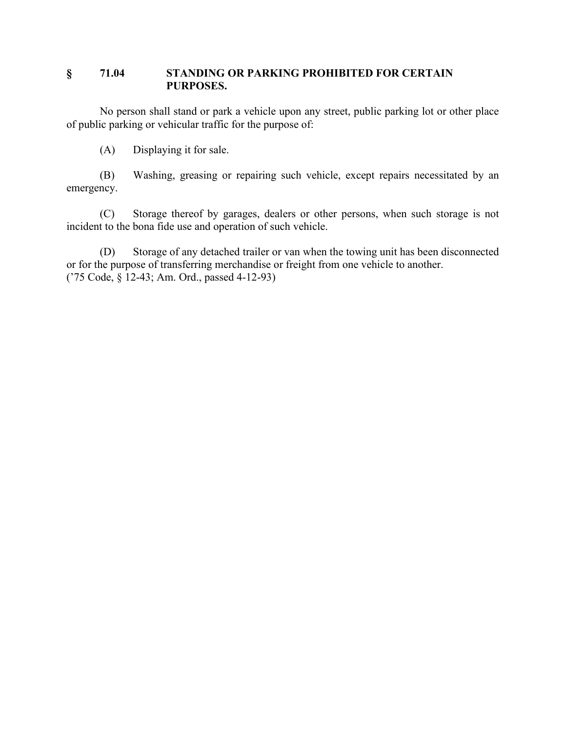### **§ 71.04 STANDING OR PARKING PROHIBITED FOR CERTAIN PURPOSES.**

No person shall stand or park a vehicle upon any street, public parking lot or other place of public parking or vehicular traffic for the purpose of:

(A) Displaying it for sale.

(B) Washing, greasing or repairing such vehicle, except repairs necessitated by an emergency.

(C) Storage thereof by garages, dealers or other persons, when such storage is not incident to the bona fide use and operation of such vehicle.

(D) Storage of any detached trailer or van when the towing unit has been disconnected or for the purpose of transferring merchandise or freight from one vehicle to another. ('75 Code, § 12-43; Am. Ord., passed 4-12-93)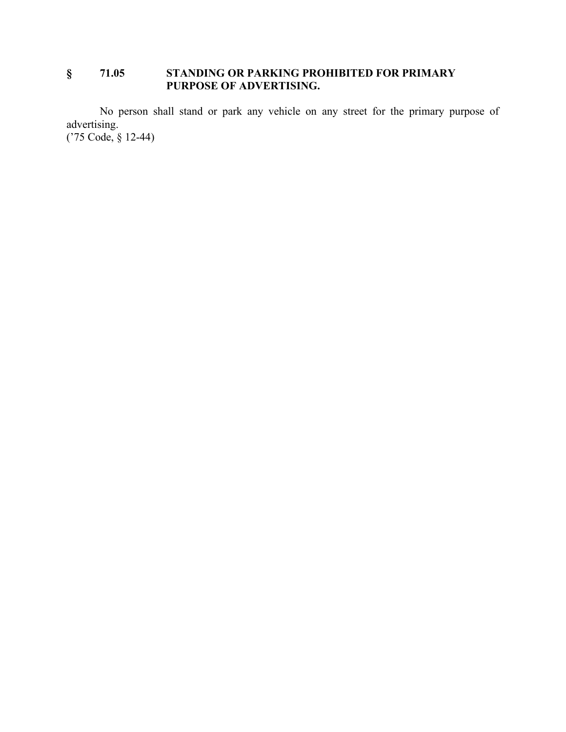### **§ 71.05 STANDING OR PARKING PROHIBITED FOR PRIMARY PURPOSE OF ADVERTISING.**

No person shall stand or park any vehicle on any street for the primary purpose of advertising. ('75 Code, § 12-44)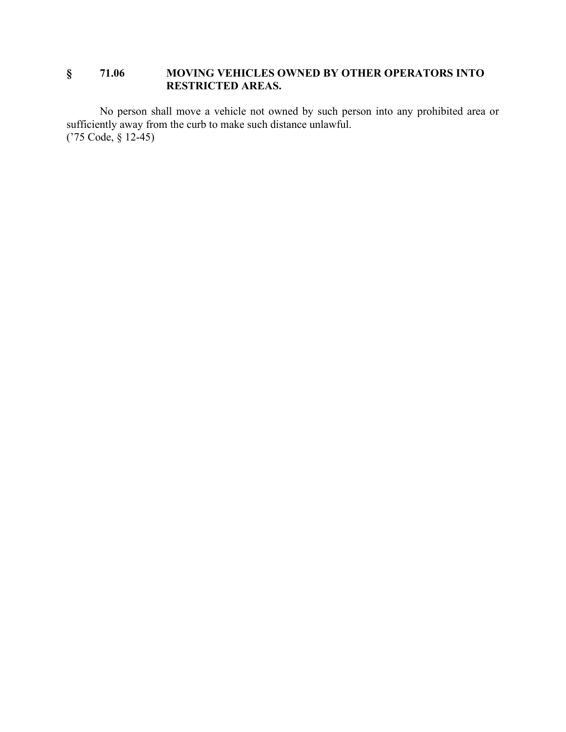### **§ 71.06 MOVING VEHICLES OWNED BY OTHER OPERATORS INTO RESTRICTED AREAS.**

No person shall move a vehicle not owned by such person into any prohibited area or sufficiently away from the curb to make such distance unlawful. ('75 Code, § 12-45)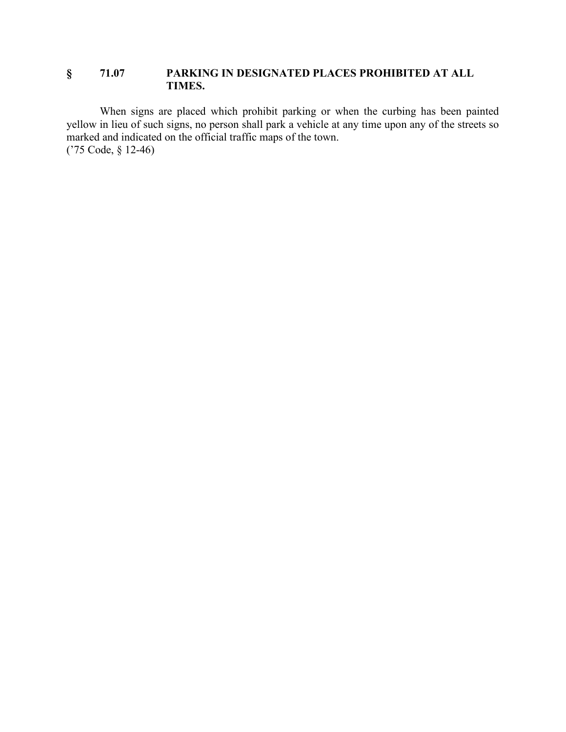### **§ 71.07 PARKING IN DESIGNATED PLACES PROHIBITED AT ALL TIMES.**

When signs are placed which prohibit parking or when the curbing has been painted yellow in lieu of such signs, no person shall park a vehicle at any time upon any of the streets so marked and indicated on the official traffic maps of the town. ('75 Code, § 12-46)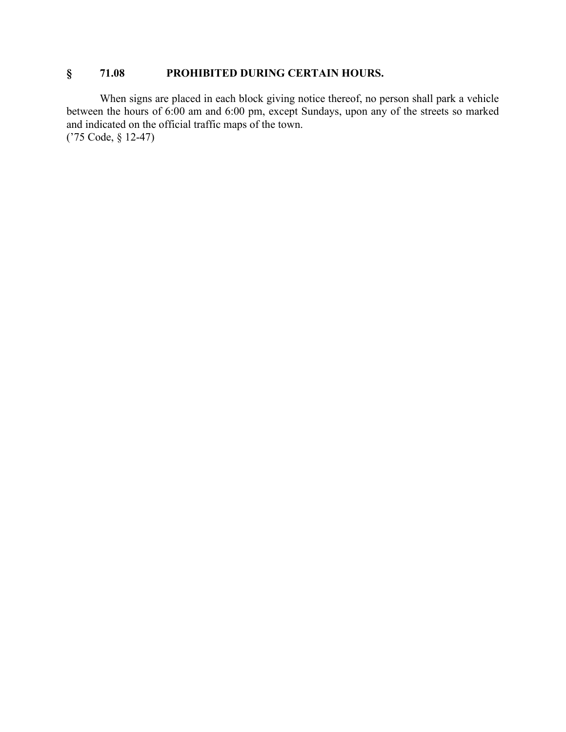### **§ 71.08 PROHIBITED DURING CERTAIN HOURS.**

When signs are placed in each block giving notice thereof, no person shall park a vehicle between the hours of 6:00 am and 6:00 pm, except Sundays, upon any of the streets so marked and indicated on the official traffic maps of the town. ('75 Code, § 12-47)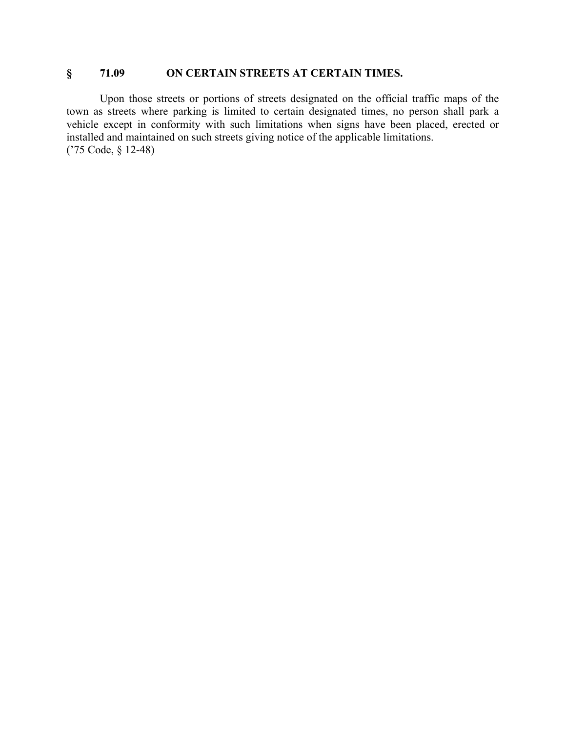### **§ 71.09 ON CERTAIN STREETS AT CERTAIN TIMES.**

Upon those streets or portions of streets designated on the official traffic maps of the town as streets where parking is limited to certain designated times, no person shall park a vehicle except in conformity with such limitations when signs have been placed, erected or installed and maintained on such streets giving notice of the applicable limitations. ('75 Code, § 12-48)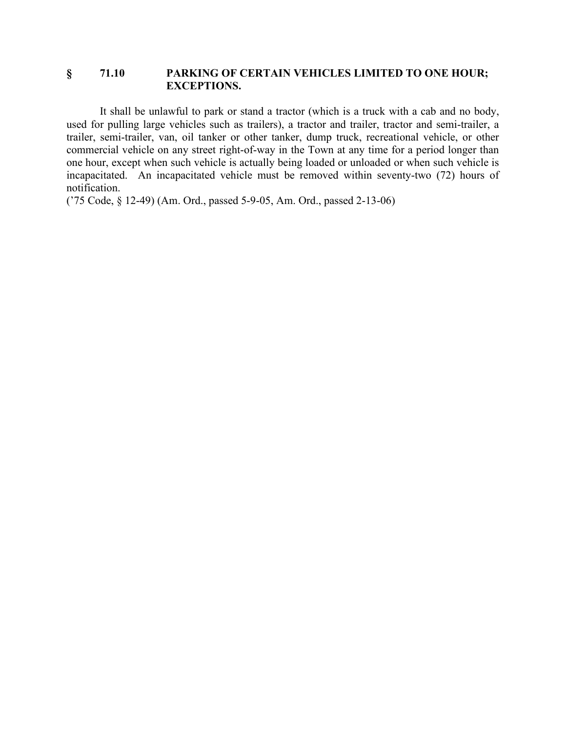#### **§ 71.10 PARKING OF CERTAIN VEHICLES LIMITED TO ONE HOUR; EXCEPTIONS.**

It shall be unlawful to park or stand a tractor (which is a truck with a cab and no body, used for pulling large vehicles such as trailers), a tractor and trailer, tractor and semi-trailer, a trailer, semi-trailer, van, oil tanker or other tanker, dump truck, recreational vehicle, or other commercial vehicle on any street right-of-way in the Town at any time for a period longer than one hour, except when such vehicle is actually being loaded or unloaded or when such vehicle is incapacitated. An incapacitated vehicle must be removed within seventy-two (72) hours of notification.

('75 Code, § 12-49) (Am. Ord., passed 5-9-05, Am. Ord., passed 2-13-06)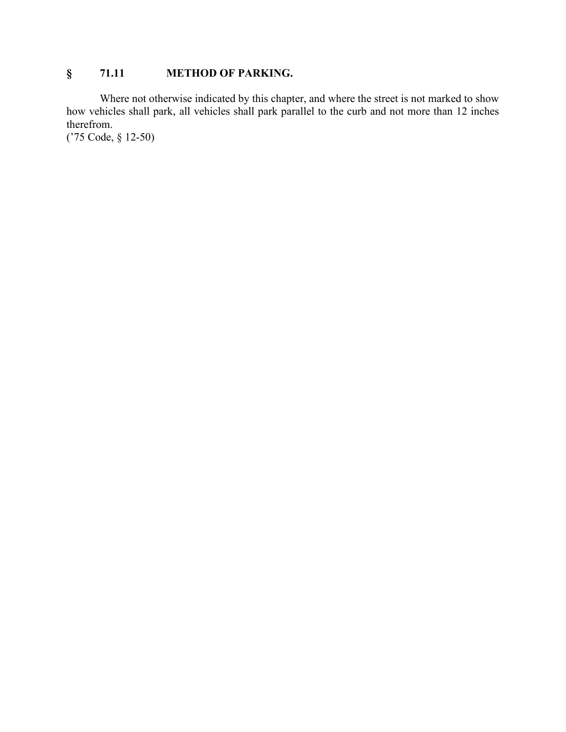## **§ 71.11 METHOD OF PARKING.**

Where not otherwise indicated by this chapter, and where the street is not marked to show how vehicles shall park, all vehicles shall park parallel to the curb and not more than 12 inches therefrom.

('75 Code, § 12-50)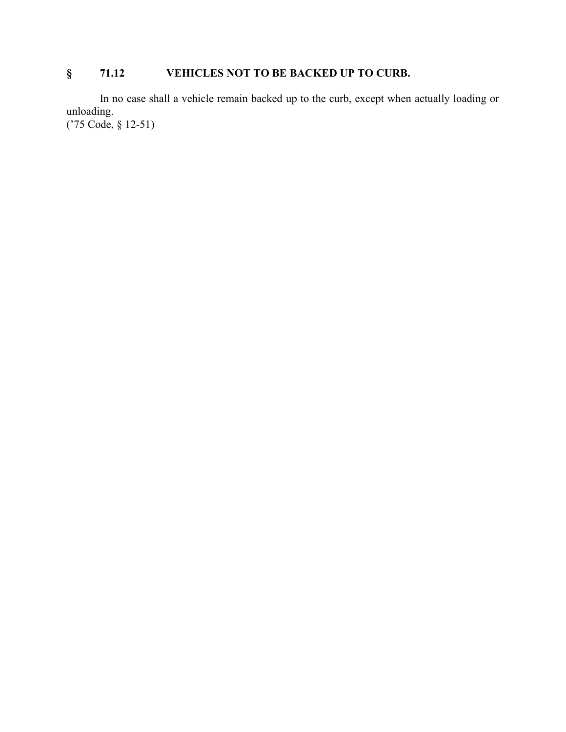# **§ 71.12 VEHICLES NOT TO BE BACKED UP TO CURB.**

In no case shall a vehicle remain backed up to the curb, except when actually loading or unloading. ('75 Code, § 12-51)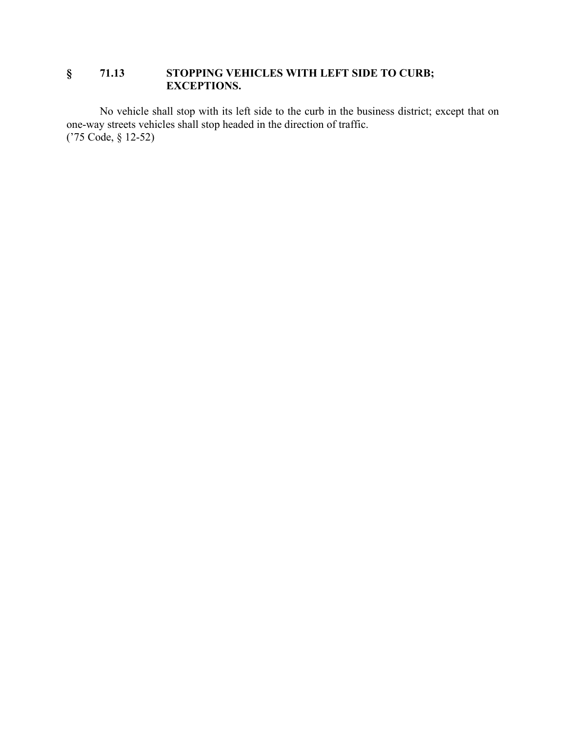### **§ 71.13 STOPPING VEHICLES WITH LEFT SIDE TO CURB; EXCEPTIONS.**

No vehicle shall stop with its left side to the curb in the business district; except that on one-way streets vehicles shall stop headed in the direction of traffic. ('75 Code, § 12-52)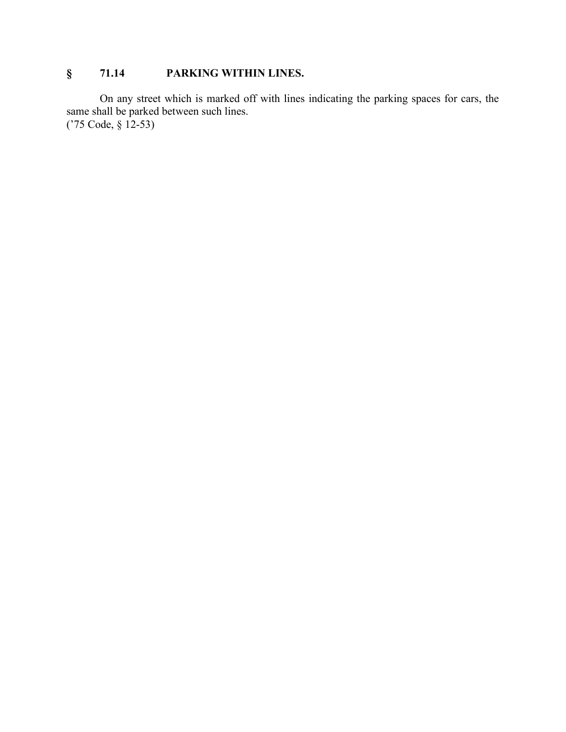# **§ 71.14 PARKING WITHIN LINES.**

On any street which is marked off with lines indicating the parking spaces for cars, the same shall be parked between such lines. ('75 Code, § 12-53)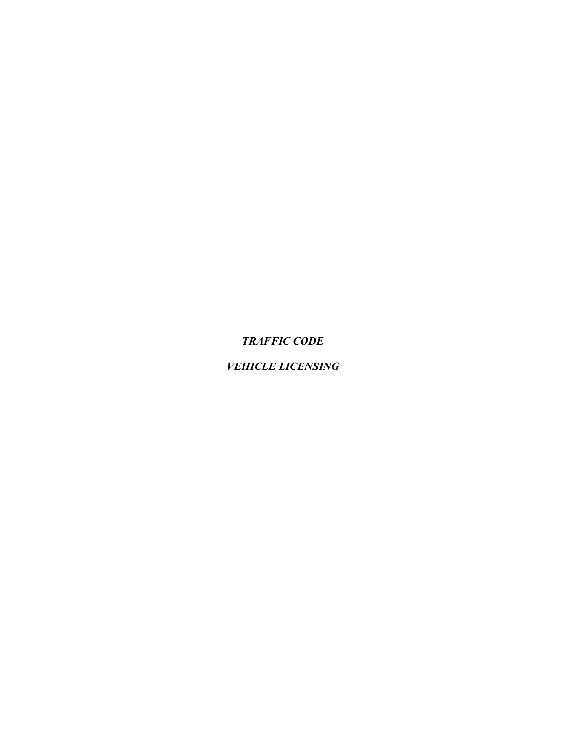*TRAFFIC CODE*

## *VEHICLE LICENSING*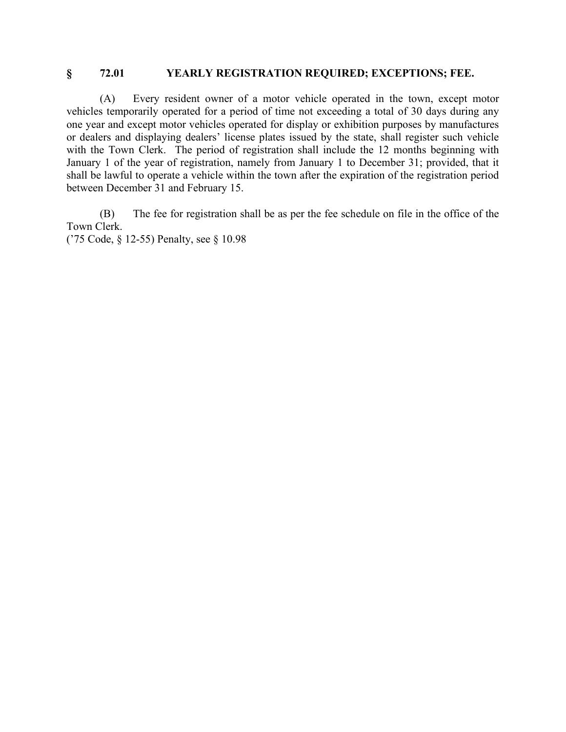#### **§ 72.01 YEARLY REGISTRATION REQUIRED; EXCEPTIONS; FEE.**

(A) Every resident owner of a motor vehicle operated in the town, except motor vehicles temporarily operated for a period of time not exceeding a total of 30 days during any one year and except motor vehicles operated for display or exhibition purposes by manufactures or dealers and displaying dealers' license plates issued by the state, shall register such vehicle with the Town Clerk. The period of registration shall include the 12 months beginning with January 1 of the year of registration, namely from January 1 to December 31; provided, that it shall be lawful to operate a vehicle within the town after the expiration of the registration period between December 31 and February 15.

(B) The fee for registration shall be as per the fee schedule on file in the office of the Town Clerk.

('75 Code, § 12-55) Penalty, see § 10.98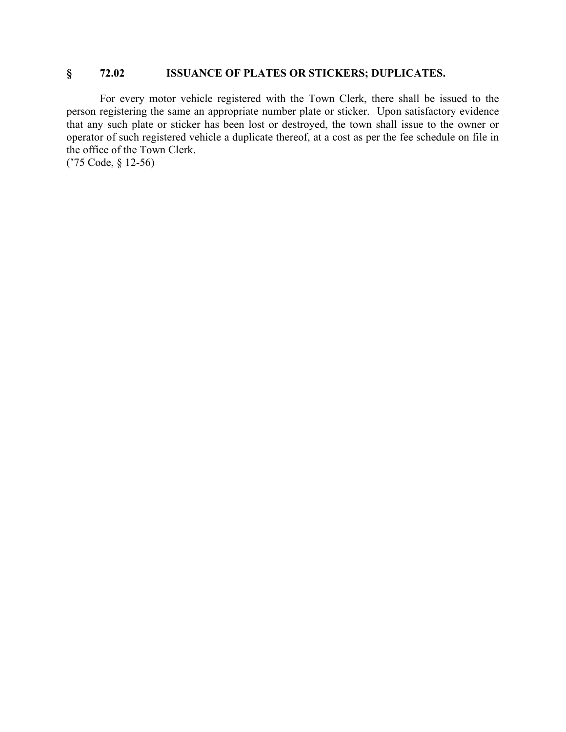#### **§ 72.02 ISSUANCE OF PLATES OR STICKERS; DUPLICATES.**

For every motor vehicle registered with the Town Clerk, there shall be issued to the person registering the same an appropriate number plate or sticker. Upon satisfactory evidence that any such plate or sticker has been lost or destroyed, the town shall issue to the owner or operator of such registered vehicle a duplicate thereof, at a cost as per the fee schedule on file in the office of the Town Clerk.

('75 Code, § 12-56)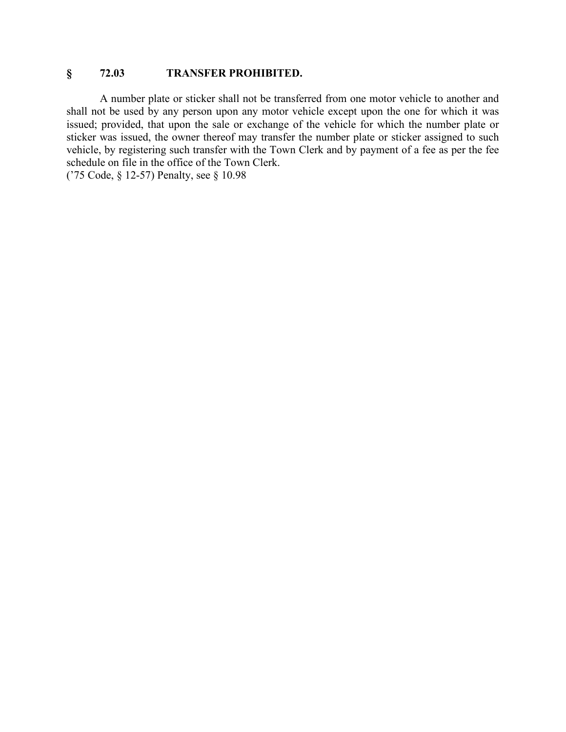### **§ 72.03 TRANSFER PROHIBITED.**

A number plate or sticker shall not be transferred from one motor vehicle to another and shall not be used by any person upon any motor vehicle except upon the one for which it was issued; provided, that upon the sale or exchange of the vehicle for which the number plate or sticker was issued, the owner thereof may transfer the number plate or sticker assigned to such vehicle, by registering such transfer with the Town Clerk and by payment of a fee as per the fee schedule on file in the office of the Town Clerk.

('75 Code, § 12-57) Penalty, see § 10.98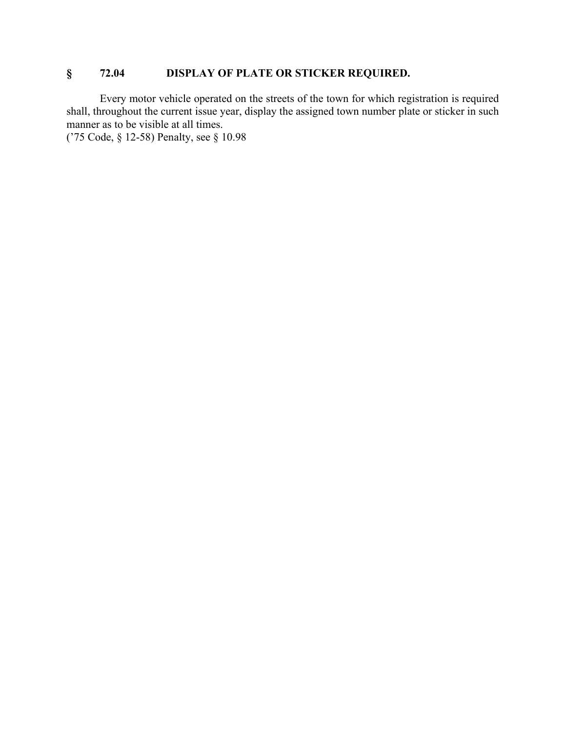### **§ 72.04 DISPLAY OF PLATE OR STICKER REQUIRED.**

Every motor vehicle operated on the streets of the town for which registration is required shall, throughout the current issue year, display the assigned town number plate or sticker in such manner as to be visible at all times.

('75 Code, § 12-58) Penalty, see § 10.98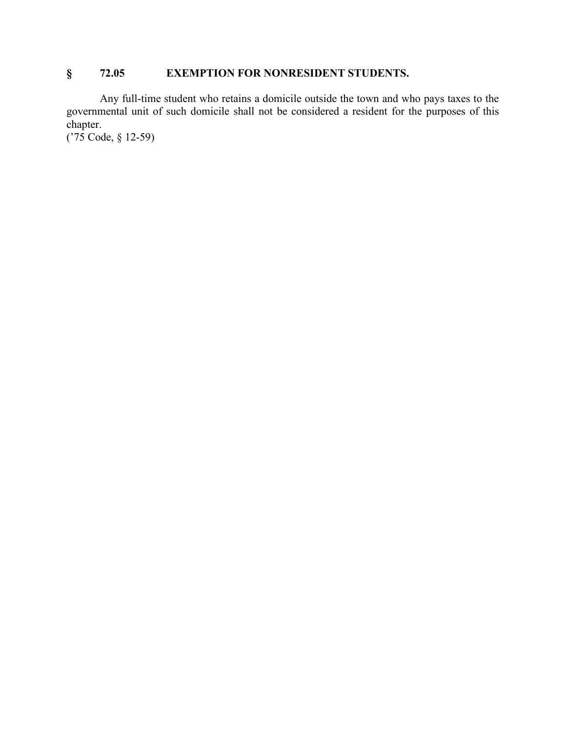## **§ 72.05 EXEMPTION FOR NONRESIDENT STUDENTS.**

Any full-time student who retains a domicile outside the town and who pays taxes to the governmental unit of such domicile shall not be considered a resident for the purposes of this chapter.

('75 Code, § 12-59)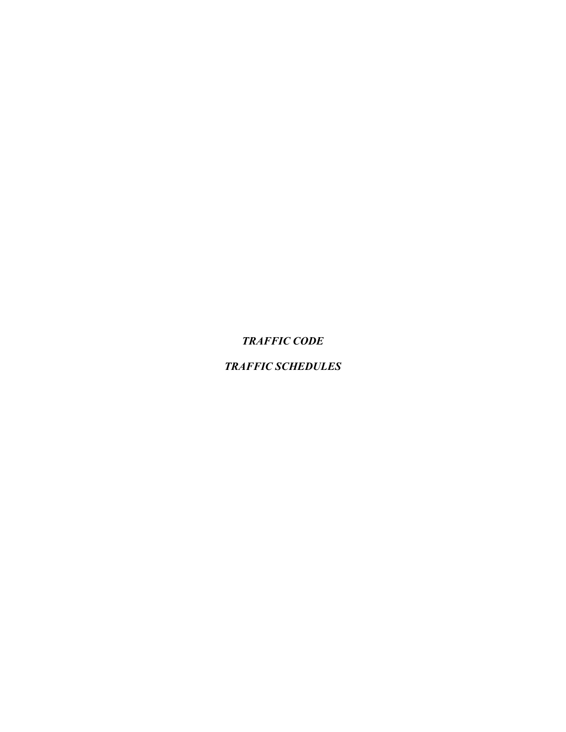*TRAFFIC CODE*

*TRAFFIC SCHEDULES*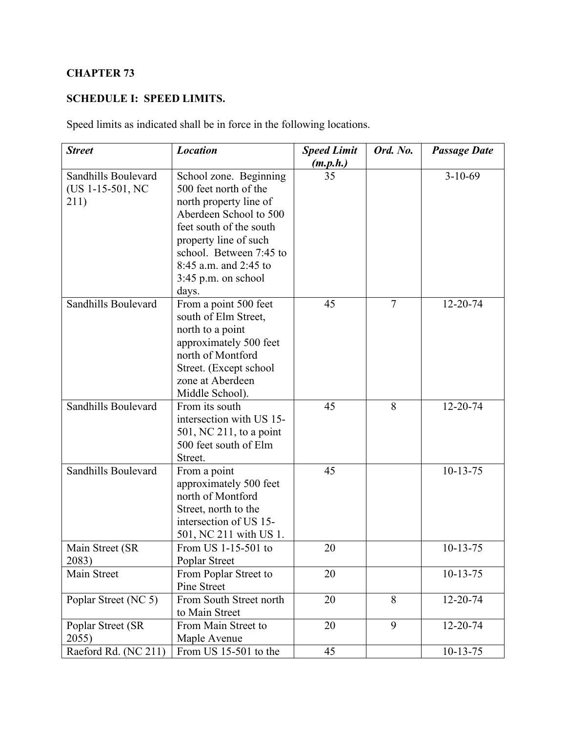## **CHAPTER 73**

## **SCHEDULE I: SPEED LIMITS.**

Speed limits as indicated shall be in force in the following locations.

| <b>Street</b>                                   | <b>Location</b>                                                                                                                                                                   | <b>Speed Limit</b> | Ord. No. | <b>Passage Date</b> |
|-------------------------------------------------|-----------------------------------------------------------------------------------------------------------------------------------------------------------------------------------|--------------------|----------|---------------------|
|                                                 |                                                                                                                                                                                   | (m.p.h.)           |          |                     |
| Sandhills Boulevard<br>(US 1-15-501, NC<br>211) | School zone. Beginning<br>500 feet north of the<br>north property line of<br>Aberdeen School to 500<br>feet south of the south                                                    | 35                 |          | $3-10-69$           |
|                                                 | property line of such<br>school. Between 7:45 to<br>8:45 a.m. and 2:45 to<br>3:45 p.m. on school<br>days.                                                                         |                    |          |                     |
| Sandhills Boulevard                             | From a point 500 feet<br>south of Elm Street,<br>north to a point<br>approximately 500 feet<br>north of Montford<br>Street. (Except school<br>zone at Aberdeen<br>Middle School). | 45                 | $\tau$   | 12-20-74            |
| Sandhills Boulevard                             | From its south<br>intersection with US 15-<br>$501$ , NC 211, to a point<br>500 feet south of Elm<br>Street.                                                                      | 45                 | 8        | $12 - 20 - 74$      |
| Sandhills Boulevard                             | From a point<br>approximately 500 feet<br>north of Montford<br>Street, north to the<br>intersection of US 15-<br>501, NC 211 with US 1.                                           | 45                 |          | $10-13-75$          |
| Main Street (SR<br>2083)                        | From US 1-15-501 to<br>Poplar Street                                                                                                                                              | 20                 |          | $10-13-75$          |
| Main Street                                     | From Poplar Street to<br>Pine Street                                                                                                                                              | 20                 |          | $10-13-75$          |
| Poplar Street (NC 5)                            | From South Street north<br>to Main Street                                                                                                                                         | 20                 | 8        | 12-20-74            |
| Poplar Street (SR<br>2055)                      | From Main Street to<br>Maple Avenue                                                                                                                                               | 20                 | 9        | 12-20-74            |
| Raeford Rd. (NC 211)                            | From US 15-501 to the                                                                                                                                                             | 45                 |          | $10 - 13 - 75$      |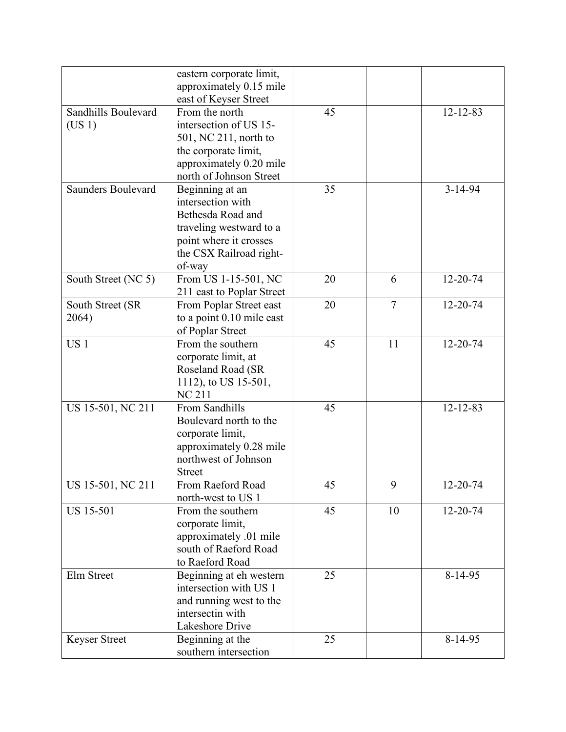|                           | eastern corporate limit,<br>approximately 0.15 mile |    |                |                |
|---------------------------|-----------------------------------------------------|----|----------------|----------------|
|                           | east of Keyser Street                               |    |                |                |
| Sandhills Boulevard       | From the north                                      | 45 |                | $12 - 12 - 83$ |
| (US 1)                    | intersection of US 15-                              |    |                |                |
|                           | 501, NC 211, north to                               |    |                |                |
|                           | the corporate limit,                                |    |                |                |
|                           | approximately 0.20 mile                             |    |                |                |
|                           | north of Johnson Street                             |    |                |                |
| <b>Saunders Boulevard</b> | Beginning at an                                     | 35 |                | $3 - 14 - 94$  |
|                           | intersection with                                   |    |                |                |
|                           | Bethesda Road and                                   |    |                |                |
|                           | traveling westward to a                             |    |                |                |
|                           |                                                     |    |                |                |
|                           | point where it crosses                              |    |                |                |
|                           | the CSX Railroad right-                             |    |                |                |
|                           | of-way                                              |    |                |                |
| South Street (NC 5)       | From US 1-15-501, NC<br>211 east to Poplar Street   | 20 | 6              | 12-20-74       |
| South Street (SR          | From Poplar Street east                             | 20 | $\overline{7}$ | 12-20-74       |
| 2064)                     | to a point 0.10 mile east                           |    |                |                |
|                           | of Poplar Street                                    |    |                |                |
| US <sub>1</sub>           | From the southern                                   | 45 | 11             | $12 - 20 - 74$ |
|                           |                                                     |    |                |                |
|                           | corporate limit, at                                 |    |                |                |
|                           | Roseland Road (SR                                   |    |                |                |
|                           | 1112), to US 15-501,                                |    |                |                |
|                           | <b>NC 211</b>                                       |    |                |                |
| US 15-501, NC 211         | From Sandhills                                      | 45 |                | $12 - 12 - 83$ |
|                           | Boulevard north to the                              |    |                |                |
|                           | corporate limit,                                    |    |                |                |
|                           | approximately 0.28 mile                             |    |                |                |
|                           | northwest of Johnson                                |    |                |                |
|                           | <b>Street</b>                                       |    |                |                |
| US 15-501, NC 211         | From Raeford Road                                   | 45 | 9              | 12-20-74       |
|                           | north-west to US 1                                  |    |                |                |
| <b>US 15-501</b>          | From the southern                                   | 45 | 10             | 12-20-74       |
|                           | corporate limit,                                    |    |                |                |
|                           | approximately .01 mile                              |    |                |                |
|                           | south of Raeford Road                               |    |                |                |
|                           | to Raeford Road                                     |    |                |                |
| Elm Street                | Beginning at eh western                             | 25 |                | 8-14-95        |
|                           | intersection with US 1                              |    |                |                |
|                           | and running west to the                             |    |                |                |
|                           | intersectin with                                    |    |                |                |
|                           | Lakeshore Drive                                     |    |                |                |
|                           |                                                     |    |                |                |
|                           |                                                     |    |                |                |
| <b>Keyser Street</b>      | Beginning at the<br>southern intersection           | 25 |                | $8-14-95$      |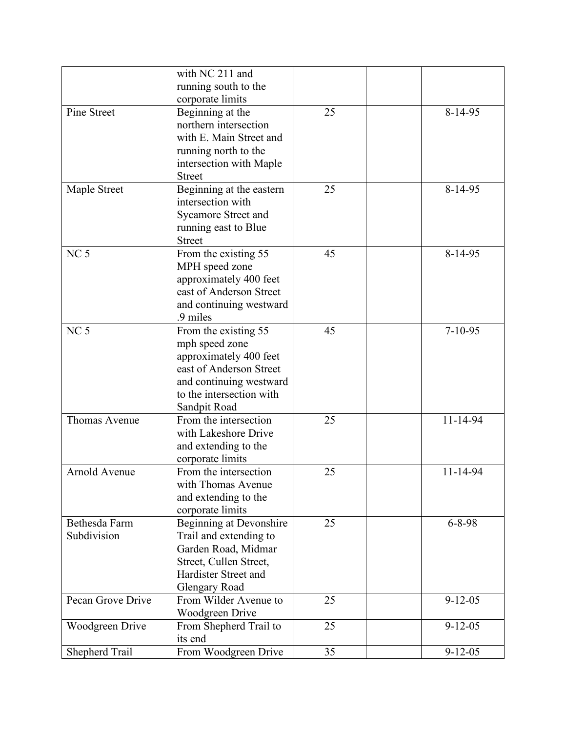|                   | with NC 211 and            |    |               |
|-------------------|----------------------------|----|---------------|
|                   | running south to the       |    |               |
|                   | corporate limits           |    |               |
| Pine Street       | Beginning at the           | 25 | $8-14-95$     |
|                   | northern intersection      |    |               |
|                   | with E. Main Street and    |    |               |
|                   |                            |    |               |
|                   | running north to the       |    |               |
|                   | intersection with Maple    |    |               |
|                   | <b>Street</b>              |    |               |
| Maple Street      | Beginning at the eastern   | 25 | $8 - 14 - 95$ |
|                   | intersection with          |    |               |
|                   | <b>Sycamore Street and</b> |    |               |
|                   | running east to Blue       |    |               |
|                   | <b>Street</b>              |    |               |
| NC <sub>5</sub>   | From the existing 55       | 45 | 8-14-95       |
|                   | MPH speed zone             |    |               |
|                   | approximately 400 feet     |    |               |
|                   | east of Anderson Street    |    |               |
|                   | and continuing westward    |    |               |
|                   | .9 miles                   |    |               |
| NC <sub>5</sub>   | From the existing 55       | 45 | $7 - 10 - 95$ |
|                   | mph speed zone             |    |               |
|                   | approximately 400 feet     |    |               |
|                   | east of Anderson Street    |    |               |
|                   | and continuing westward    |    |               |
|                   | to the intersection with   |    |               |
|                   |                            |    |               |
|                   | Sandpit Road               |    |               |
| Thomas Avenue     | From the intersection      | 25 | 11-14-94      |
|                   | with Lakeshore Drive       |    |               |
|                   | and extending to the       |    |               |
|                   | corporate limits           |    |               |
| Arnold Avenue     | From the intersection      | 25 | 11-14-94      |
|                   | with Thomas Avenue         |    |               |
|                   | and extending to the       |    |               |
|                   | corporate limits           |    |               |
| Bethesda Farm     | Beginning at Devonshire    | 25 | $6 - 8 - 98$  |
| Subdivision       | Trail and extending to     |    |               |
|                   | Garden Road, Midmar        |    |               |
|                   | Street, Cullen Street,     |    |               |
|                   | Hardister Street and       |    |               |
|                   | <b>Glengary Road</b>       |    |               |
| Pecan Grove Drive | From Wilder Avenue to      | 25 | $9 - 12 - 05$ |
|                   | Woodgreen Drive            |    |               |
| Woodgreen Drive   | From Shepherd Trail to     | 25 | $9 - 12 - 05$ |
|                   | its end                    |    |               |
|                   |                            | 35 |               |
| Shepherd Trail    | From Woodgreen Drive       |    | $9 - 12 - 05$ |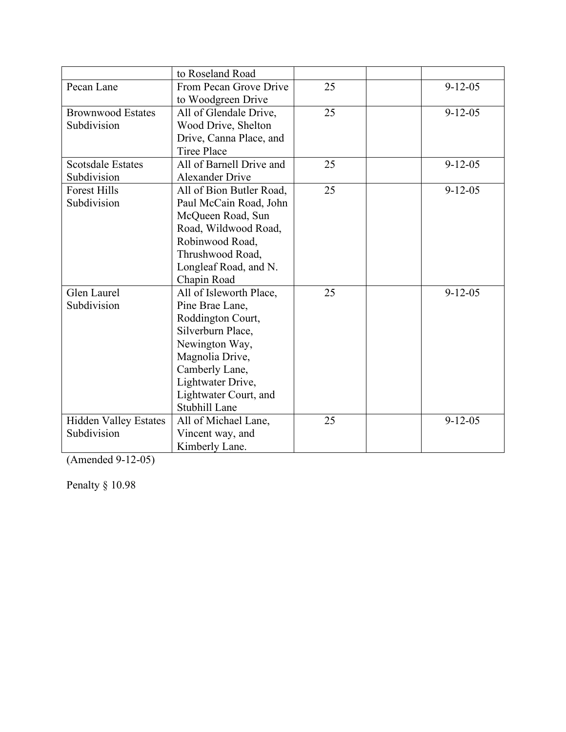|                              | to Roseland Road         |    |               |
|------------------------------|--------------------------|----|---------------|
| Pecan Lane                   | From Pecan Grove Drive   | 25 | $9 - 12 - 05$ |
|                              | to Woodgreen Drive       |    |               |
| <b>Brownwood Estates</b>     | All of Glendale Drive,   | 25 | $9 - 12 - 05$ |
| Subdivision                  | Wood Drive, Shelton      |    |               |
|                              | Drive, Canna Place, and  |    |               |
|                              | <b>Tiree Place</b>       |    |               |
| <b>Scotsdale Estates</b>     | All of Barnell Drive and | 25 | $9 - 12 - 05$ |
| Subdivision                  | <b>Alexander Drive</b>   |    |               |
| <b>Forest Hills</b>          | All of Bion Butler Road, | 25 | $9 - 12 - 05$ |
| Subdivision                  | Paul McCain Road, John   |    |               |
|                              | McQueen Road, Sun        |    |               |
|                              | Road, Wildwood Road,     |    |               |
|                              | Robinwood Road,          |    |               |
|                              | Thrushwood Road,         |    |               |
|                              | Longleaf Road, and N.    |    |               |
|                              | Chapin Road              |    |               |
| Glen Laurel                  | All of Isleworth Place,  | 25 | $9 - 12 - 05$ |
| Subdivision                  | Pine Brae Lane,          |    |               |
|                              | Roddington Court,        |    |               |
|                              | Silverburn Place,        |    |               |
|                              | Newington Way,           |    |               |
|                              | Magnolia Drive,          |    |               |
|                              | Camberly Lane,           |    |               |
|                              | Lightwater Drive,        |    |               |
|                              | Lightwater Court, and    |    |               |
|                              | Stubhill Lane            |    |               |
| <b>Hidden Valley Estates</b> | All of Michael Lane,     | 25 | $9 - 12 - 05$ |
| Subdivision                  | Vincent way, and         |    |               |
|                              | Kimberly Lane.           |    |               |

(Amended 9 -12 -05)

Penalty § 10.98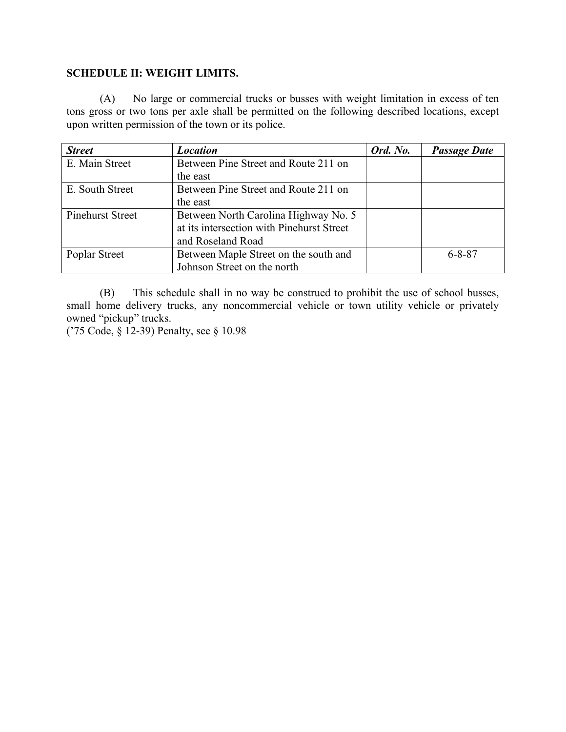### **SCHEDULE II: WEIGHT LIMITS.**

(A) No large or commercial trucks or busses with weight limitation in excess of ten tons gross or two tons per axle shall be permitted on the following described locations, except upon written permission of the town or its police.

| <b>Street</b>           | <b>Location</b>                           | Ord. No. | <b>Passage Date</b> |
|-------------------------|-------------------------------------------|----------|---------------------|
| E. Main Street          | Between Pine Street and Route 211 on      |          |                     |
|                         | the east                                  |          |                     |
| E. South Street         | Between Pine Street and Route 211 on      |          |                     |
|                         | the east                                  |          |                     |
| <b>Pinehurst Street</b> | Between North Carolina Highway No. 5      |          |                     |
|                         | at its intersection with Pinehurst Street |          |                     |
|                         | and Roseland Road                         |          |                     |
| Poplar Street           | Between Maple Street on the south and     |          | $6 - 8 - 87$        |
|                         | Johnson Street on the north               |          |                     |

(B) This schedule shall in no way be construed to prohibit the use of school busses, small home delivery trucks, any noncommercial vehicle or town utility vehicle or privately owned "pickup" trucks.

('75 Code, § 12-39) Penalty, see § 10.98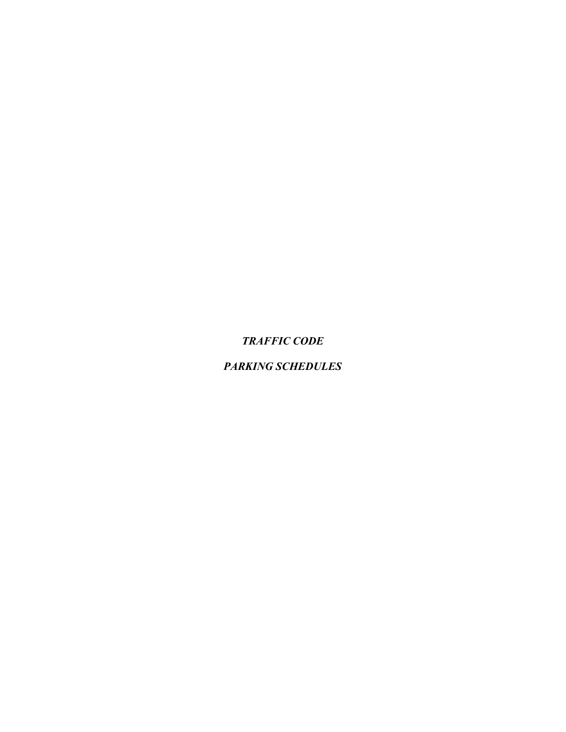*TRAFFIC CODE*

## *PARKING SCHEDULES*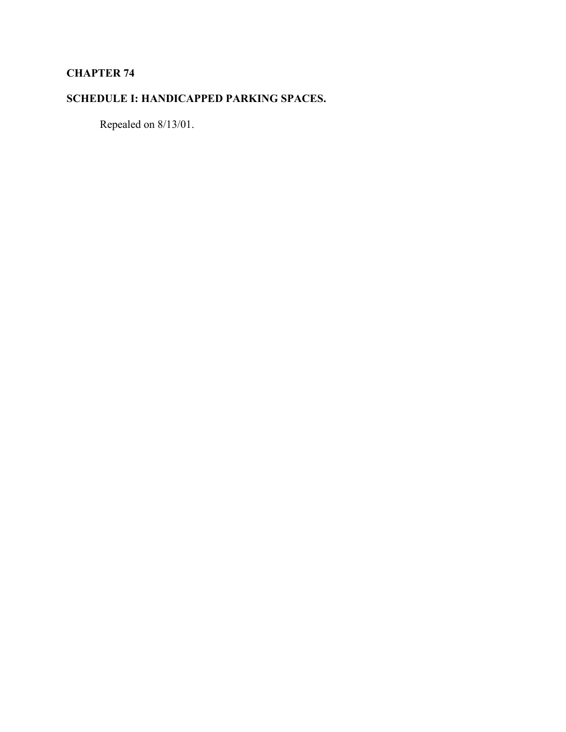## **CHAPTER 74**

# **SCHEDULE I: HANDICAPPED PARKING SPACES.**

Repealed on 8/13/01.